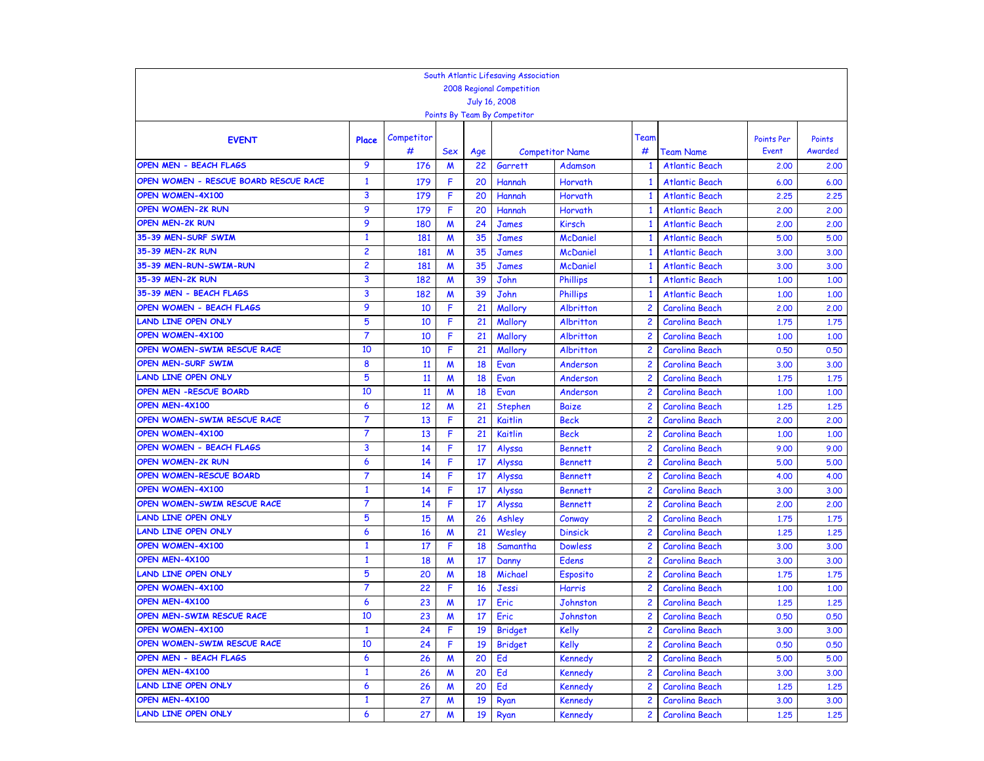|                                                    |                |            |                  |           | South Atlantic Lifesaving Association |                                   |                         |                       |                   |         |
|----------------------------------------------------|----------------|------------|------------------|-----------|---------------------------------------|-----------------------------------|-------------------------|-----------------------|-------------------|---------|
|                                                    |                |            |                  |           | 2008 Regional Competition             |                                   |                         |                       |                   |         |
|                                                    |                |            |                  |           | July 16, 2008                         |                                   |                         |                       |                   |         |
|                                                    |                |            |                  |           | Points By Team By Competitor          |                                   |                         |                       |                   |         |
|                                                    |                |            |                  |           |                                       |                                   |                         |                       |                   |         |
| <b>EVENT</b>                                       | Place          | Competitor |                  |           |                                       |                                   | Team                    |                       | <b>Points Per</b> | Points  |
| OPEN MEN - BEACH FLAGS                             | 9              | #          | Sex              | Age<br>22 |                                       | <b>Competitor Name</b><br>Adamson | #                       | Team Name             | Event             | Awarded |
|                                                    |                | 176        | M                |           | Garrett                               |                                   | -1                      | <b>Atlantic Beach</b> | 2,00              | 2,00    |
| OPEN WOMEN - RESCUE BOARD RESCUE RACE              | $\mathbf{1}$   | 179        | F                | 20        | Hannah                                | Horvath                           |                         | <b>Atlantic Beach</b> | 6.00              | 6.00    |
| <b>OPEN WOMEN-4X100</b>                            | 3<br>9         | 179        | F                | 20        | Hannah                                | Horvath                           | -1                      | <b>Atlantic Beach</b> | 2,25              | 2,25    |
| <b>OPEN WOMEN-2K RUN</b><br><b>OPEN MEN-2K RUN</b> | 9              | 179        | F                | 20        | Hannah                                | Horvath                           | -1                      | <b>Atlantic Beach</b> | 2,00              | 2,00    |
|                                                    |                | 180        | $\boldsymbol{M}$ | 24        | <b>James</b>                          | <b>Kirsch</b>                     | 1                       | <b>Atlantic Beach</b> | 2,00              | 2.00    |
| 35-39 MEN-SURF SWIM                                | $\mathbf{1}$   | 181        | $\boldsymbol{M}$ | 35        | <b>James</b>                          | <b>McDaniel</b>                   | -1                      | <b>Atlantic Beach</b> | 5.00              | 5.00    |
| 35-39 MEN-2K RUN                                   | $\overline{c}$ | 181        | $\boldsymbol{M}$ | 35        | James                                 | <b>McDaniel</b>                   | -1                      | <b>Atlantic Beach</b> | 3,00              | 3.00    |
| 35-39 MEN-RUN-SWIM-RUN                             | $\overline{2}$ | 181        | $\boldsymbol{M}$ | 35        | <b>James</b>                          | <b>McDaniel</b>                   | 1                       | <b>Atlantic Beach</b> | 3,00              | 3.00    |
| 35-39 MEN-2K RUN                                   | 3              | 182        | M                | 39        | John                                  | <b>Phillips</b>                   | $\overline{\mathbf{1}}$ | <b>Atlantic Beach</b> | 1.00              | 1,00    |
| 35-39 MEN - BEACH FLAGS                            | 3              | 182        | M                | 39        | John                                  | <b>Phillips</b>                   | -1                      | <b>Atlantic Beach</b> | 1.00              | 1,00    |
| OPEN WOMEN - BEACH FLAGS                           | 9              | 10         | F                | 21        | Mallory                               | Albritton                         | $\overline{c}$          | <b>Carolina Beach</b> | 2,00              | 2,00    |
| <b>LAND LINE OPEN ONLY</b>                         | 5              | 10         | F                | 21        | Mallory                               | Albritton                         | $\overline{c}$          | <b>Carolina Beach</b> | 1.75              | 1,75    |
| <b>OPEN WOMEN-4X100</b>                            | $\overline{7}$ | 10         | F                | 21        | Mallory                               | Albritton                         | $\overline{c}$          | Carolina Beach        | 1.00              | 1.00    |
| OPEN WOMEN-SWIM RESCUE RACE                        | 10             | 10         | F                | 21        | Mallory                               | Albritton                         | $\overline{c}$          | <b>Carolina Beach</b> | 0.50              | 0.50    |
| <b>OPEN MEN-SURF SWIM</b>                          | 8              | 11         | M                | 18        | Evan                                  | Anderson                          | 2                       | Carolina Beach        | 3.00              | 3.00    |
| <b>LAND LINE OPEN ONLY</b>                         | 5              | 11         | $\boldsymbol{M}$ | 18        | Evan                                  | Anderson                          | $\overline{c}$          | <b>Carolina Beach</b> | 1.75              | 1,75    |
| OPEN MEN -RESCUE BOARD                             | 10             | 11         | M                | 18        | Evan                                  | Anderson                          | $\overline{c}$          | <b>Carolina Beach</b> | 1.00              | 1,00    |
| OPEN MEN-4X100                                     | 6              | 12         | M                | 21        | Stephen                               | <b>Baize</b>                      | $\overline{c}$          | <b>Carolina Beach</b> | 1.25              | 1,25    |
| OPEN WOMEN-SWIM RESCUE RACE                        | 7              | 13         | F                | 21        | Kaitlin                               | <b>Beck</b>                       | 2                       | <b>Carolina Beach</b> | 2,00              | 2,00    |
| <b>OPEN WOMEN-4X100</b>                            | $\overline{7}$ | 13         | F                | 21        | Kaitlin                               | <b>Beck</b>                       | $\overline{c}$          | <b>Carolina Beach</b> | 1.00              | 1,00    |
| OPEN WOMEN - BEACH FLAGS                           | 3              | 14         | F                | 17        | Alyssa                                | <b>Bennett</b>                    | $\overline{c}$          | <b>Carolina Beach</b> | 9.00              | 9.00    |
| <b>OPEN WOMEN-2K RUN</b>                           | 6              | 14         | F                | 17        | Alyssa                                | <b>Bennett</b>                    | $\overline{c}$          | <b>Carolina Beach</b> | 5.00              | 5.00    |
| OPEN WOMEN-RESCUE BOARD                            | 7              | 14         | F                | 17        | Alyssa                                | <b>Bennett</b>                    | $\overline{c}$          | <b>Carolina Beach</b> | 4.00              | 4.00    |
| OPEN WOMEN-4X100                                   | $\mathbf{1}$   | 14         | F                | 17        | Alyssa                                | <b>Bennett</b>                    | $\overline{c}$          | <b>Carolina Beach</b> | 3,00              | 3.00    |
| OPEN WOMEN-SWIM RESCUE RACE                        | $\overline{7}$ | 14         | F                | 17        | Alyssa                                | <b>Bennett</b>                    | $\overline{c}$          | <b>Carolina Beach</b> | 2,00              | 2.00    |
| <b>LAND LINE OPEN ONLY</b>                         | 5              | 15         | M                | 26        | Ashley                                | Conway                            | $\overline{c}$          | <b>Carolina Beach</b> | 1,75              | 1,75    |
| <b>LAND LINE OPEN ONLY</b>                         | 6              | 16         | M                | 21        | Wesley                                | <b>Dinsick</b>                    | 2                       | <b>Carolina Beach</b> | 1,25              | 1,25    |
| <b>OPEN WOMEN-4X100</b>                            | $\mathbf{1}$   | 17         | F                | 18        | Samantha                              | <b>Dowless</b>                    | $\overline{c}$          | <b>Carolina Beach</b> | 3.00              | 3.00    |
| OPEN MEN-4X100                                     | $\mathbf{1}$   | 18         | M                | 17        | Danny                                 | <b>Edens</b>                      | $\overline{c}$          | <b>Carolina Beach</b> | 3.00              | 3.00    |
| <b>LAND LINE OPEN ONLY</b>                         | 5              | 20         | $\boldsymbol{M}$ | 18        | Michael                               | Esposito                          | $\overline{c}$          | <b>Carolina Beach</b> | 1,75              | 1,75    |
| OPEN WOMEN-4X100                                   | $\overline{7}$ | 22         | F                | 16        | Jessi                                 | <b>Harris</b>                     | $\overline{c}$          | <b>Carolina Beach</b> | 1.00              | 1.00    |
| OPEN MEN-4X100                                     | 6              | 23         | M                | 17        | Eric                                  | Johnston                          | 2                       | <b>Carolina Beach</b> | 1.25              | 1.25    |
| OPEN MEN-SWIM RESCUE RACE                          | 10             | 23         | W                | 17        | Eric                                  | Johnston                          | $\overline{c}$          | Carolina Beach        | 0.50              | 0.50    |
| OPEN WOMEN-4X100                                   | 1              | 24         | F                | 19        | <b>Bridget</b>                        | Kelly                             | $\mathbf{2}$            | Carolina Beach        | 3.00              | 3,00    |
| OPEN WOMEN-SWIM RESCUE RACE                        | 10             | 24         | F                | 19        | <b>Bridget</b>                        | <b>Kelly</b>                      | $\overline{2}$          | Carolina Beach        | 0.50              | 0.50    |
| OPEN MEN - BEACH FLAGS                             | 6              | 26         | M                | 20        | Ed                                    | Kennedy                           | $\overline{c}$          | Carolina Beach        | 5.00              | 5.00    |
| OPEN MEN-4X100                                     | $\mathbf{1}$   | 26         | M                | 20        | Ed                                    | <b>Kennedy</b>                    | $\overline{c}$          | Carolina Beach        | 3.00              | 3.00    |
| <b>LAND LINE OPEN ONLY</b>                         | 6              | 26         | M                | 20        | Ed                                    | Kennedy                           | $\overline{c}$          | Carolina Beach        | 1.25              | 1.25    |
| OPEN MEN-4X100                                     | $\mathbf{1}$   | 27         | M                | 19        | Ryan                                  | <b>Kennedy</b>                    | 2                       | Carolina Beach        | 3.00              | 3.00    |
| <b>LAND LINE OPEN ONLY</b>                         | 6              | 27         | M                | 19        | Ryan                                  | Kennedy                           | $\overline{c}$          | Carolina Beach        | 1.25              | 1,25    |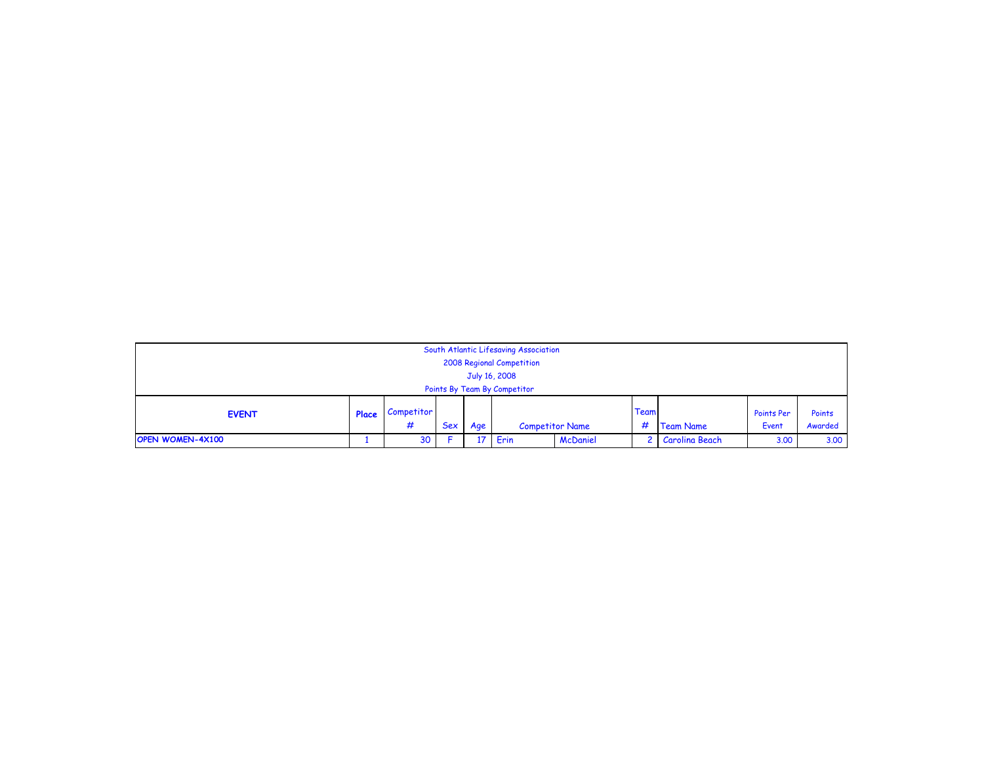|                              |       |            |            |               | South Atlantic Lifesaving Association |                 |      |                  |            |         |
|------------------------------|-------|------------|------------|---------------|---------------------------------------|-----------------|------|------------------|------------|---------|
|                              |       |            |            |               | 2008 Regional Competition             |                 |      |                  |            |         |
|                              |       |            |            | July 16, 2008 |                                       |                 |      |                  |            |         |
| Points By Team By Competitor |       |            |            |               |                                       |                 |      |                  |            |         |
| <b>EVENT</b>                 | Place | Competitor |            |               |                                       |                 | Team |                  | Points Per | Points  |
|                              |       | #          | <b>Sex</b> | Age           | <b>Competitor Name</b>                |                 | #    | <b>Team Name</b> | Event      | Awarded |
| <b>OPEN WOMEN-4X100</b>      |       | 30         |            | 17            | Erin                                  | <b>McDaniel</b> |      | 2 Carolina Beach | 3.00       | 3.00    |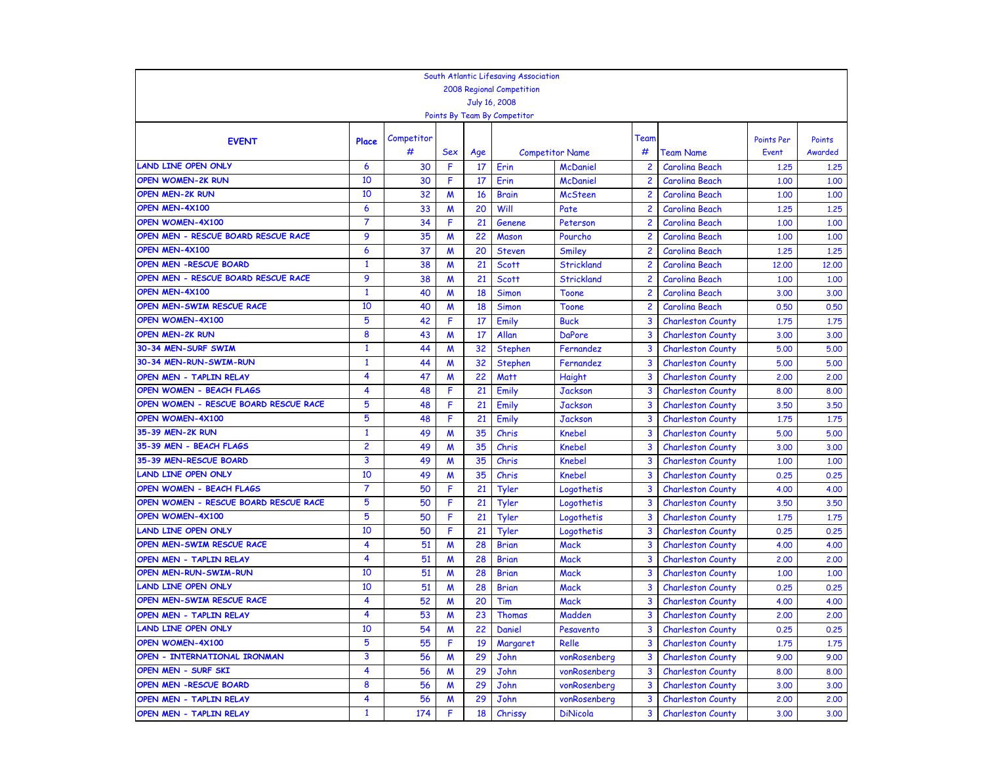|                                       |                     |            |                  |     | South Atlantic Lifesaving Association |                        |                |                          |                   |         |
|---------------------------------------|---------------------|------------|------------------|-----|---------------------------------------|------------------------|----------------|--------------------------|-------------------|---------|
|                                       |                     |            |                  |     | <b>2008 Regional Competition</b>      |                        |                |                          |                   |         |
|                                       |                     |            |                  |     | July 16, 2008                         |                        |                |                          |                   |         |
|                                       |                     |            |                  |     | Points By Team By Competitor          |                        |                |                          |                   |         |
|                                       |                     | Competitor |                  |     |                                       |                        | Team           |                          | <b>Points Per</b> | Points  |
| <b>EVENT</b>                          | Place               | #          | Sex              | Age |                                       | <b>Competitor Name</b> | #              | <b>Team Name</b>         | Event             | Awarded |
| <b>LAND LINE OPEN ONLY</b>            | $\ddot{\mathbf{6}}$ | 30         | F                | 17  | Erin                                  | <b>McDaniel</b>        | $\overline{c}$ | <b>Carolina Beach</b>    | 1,25              | 1.25    |
| <b>OPEN WOMEN-2K RUN</b>              | 10                  | 30         | F                | 17  | Erin                                  | <b>McDaniel</b>        | $\overline{c}$ | <b>Carolina Beach</b>    | 1,00              | 1,00    |
| <b>OPEN MEN-2K RUN</b>                | 10                  | 32         | $\boldsymbol{M}$ | 16  | <b>Brain</b>                          | <b>McSteen</b>         | $\overline{c}$ | <b>Carolina Beach</b>    | 1,00              | 1,00    |
| OPEN MEN-4X100                        | 6                   | 33         | $\boldsymbol{M}$ | 20  | Will                                  | Pate                   | $\overline{c}$ | <b>Carolina Beach</b>    | 1,25              | 1,25    |
| OPEN WOMEN-4X100                      | $\overline{7}$      | 34         | F                | 21  | Genene                                | Peterson               | $\overline{c}$ | <b>Carolina Beach</b>    | 1,00              | 1.00    |
| OPEN MEN - RESCUE BOARD RESCUE RACE   | 9                   | 35         | $\boldsymbol{M}$ | 22  | <b>Mason</b>                          | Pourcho                | $\overline{c}$ | <b>Carolina Beach</b>    | 1.00              | 1.00    |
| OPEN MEN-4X100                        | 6                   | 37         | $\boldsymbol{M}$ | 20  | <b>Steven</b>                         | Smiley                 | $\overline{c}$ | <b>Carolina Beach</b>    | 1,25              | 1,25    |
| <b>OPEN MEN -RESCUE BOARD</b>         | 1                   | 38         | W                | 21  | <b>Scott</b>                          | <b>Strickland</b>      | $\overline{c}$ | <b>Carolina Beach</b>    | 12,00             | 12,00   |
| OPEN MEN - RESCUE BOARD RESCUE RACE   | 9                   | 38         | M                | 21  | <b>Scott</b>                          | <b>Strickland</b>      | $\overline{c}$ | <b>Carolina Beach</b>    | 1.00              | 1.00    |
| OPEN MEN-4X100                        | $\mathbf{1}$        | 40         | M                | 18  | <b>Simon</b>                          | <b>Toone</b>           | $\overline{c}$ | <b>Carolina Beach</b>    | 3.00              | 3.00    |
| OPEN MEN-SWIM RESCUE RACE             | 10                  | 40         | M                | 18  | <b>Simon</b>                          | <b>Toone</b>           | $\overline{c}$ | <b>Carolina Beach</b>    | 0.50              | 0.50    |
| OPEN WOMEN-4X100                      | 5                   | 42         | F                | 17  | Emily                                 | <b>Buck</b>            | 3              | <b>Charleston County</b> | 1,75              | 1,75    |
| <b>OPEN MEN-2K RUN</b>                | 8                   | 43         | W                | 17  | Allan                                 | <b>DaPore</b>          | 3              | <b>Charleston County</b> | 3.00              | 3.00    |
| 30-34 MEN-SURF SWIM                   | $\mathbf{1}$        | 44         | $\boldsymbol{M}$ | 32  | Stephen                               | Fernandez              | $\overline{3}$ | <b>Charleston County</b> | 5.00              | 5.00    |
| 30-34 MEN-RUN-SWIM-RUN                | $\mathbf{1}$        | 44         | M                | 32  | Stephen                               | Fernandez              | 3              | <b>Charleston County</b> | 5.00              | 5.00    |
| OPEN MEN - TAPLIN RELAY               | 4                   | 47         | M                | 22  | <b>Matt</b>                           | <b>Haight</b>          | 3              | <b>Charleston County</b> | 2,00              | 2,00    |
| <b>OPEN WOMEN - BEACH FLAGS</b>       | 4                   | 48         | F                | 21  | Emily                                 | <b>Jackson</b>         | 3              | <b>Charleston County</b> | 8,00              | 8,00    |
| OPEN WOMEN - RESCUE BOARD RESCUE RACE | 5                   | 48         | F                | 21  | Emily                                 | <b>Jackson</b>         | 3              | <b>Charleston County</b> | 3,50              | 3.50    |
| OPEN WOMEN-4X100                      | 5                   | 48         | F                | 21  | Emily                                 | <b>Jackson</b>         | 3              | <b>Charleston County</b> | 1,75              | 1,75    |
| 35-39 MEN-2K RUN                      | $\mathbf{1}$        | 49         | M                | 35  | Chris                                 | <b>Knebel</b>          | $\overline{3}$ | <b>Charleston County</b> | 5.00              | 5.00    |
| 35-39 MEN - BEACH FLAGS               | 2                   | 49         | M                | 35  | Chris                                 | <b>Knebel</b>          | 3              | <b>Charleston County</b> | 3.00              | 3.00    |
| 35-39 MEN-RESCUE BOARD                | 3                   | 49         | $\boldsymbol{M}$ | 35  | Chris                                 | <b>Knebel</b>          | 3              | <b>Charleston County</b> | 1,00              | 1.00    |
| <b>LAND LINE OPEN ONLY</b>            | 10                  | 49         | $\boldsymbol{M}$ | 35  | Chris                                 | <b>Knebel</b>          | $\overline{3}$ | <b>Charleston County</b> | 0.25              | 0.25    |
| <b>OPEN WOMEN - BEACH FLAGS</b>       | 7                   | 50         | F                | 21  | Tyler                                 | Logothetis             | $\overline{3}$ | <b>Charleston County</b> | 4.00              | 4.00    |
| OPEN WOMEN - RESCUE BOARD RESCUE RACE | 5                   | 50         | F                | 21  | Tyler                                 | Logothetis             | 3              | <b>Charleston County</b> | 3.50              | 3.50    |
| <b>OPEN WOMEN-4X100</b>               | 5                   | 50         | F                | 21  | Tyler                                 | Logothetis             | 3              | <b>Charleston County</b> | 1,75              | 1,75    |
| <b>LAND LINE OPEN ONLY</b>            | 10                  | 50         | F                | 21  | Tyler                                 | Logothetis             | $\overline{3}$ | <b>Charleston County</b> | 0.25              | 0.25    |
| OPEN MEN-SWIM RESCUE RACE             | 4                   | 51         | $\boldsymbol{M}$ | 28  | <b>Brian</b>                          | <b>Mack</b>            | $\overline{3}$ | <b>Charleston County</b> | 4.00              | 4.00    |
| OPEN MEN - TAPLIN RELAY               | 4                   | 51         | W                | 28  | <b>Brian</b>                          | <b>Mack</b>            | 3              | <b>Charleston County</b> | 2,00              | 2,00    |
| OPEN MEN-RUN-SWIM-RUN                 | 10                  | 51         | M                | 28  | <b>Brian</b>                          | <b>Mack</b>            | 3              | <b>Charleston County</b> | 1,00              | 1.00    |
| <b>LAND LINE OPEN ONLY</b>            | 10                  | 51         | M                | 28  | <b>Brian</b>                          | <b>Mack</b>            | 3              | <b>Charleston County</b> | 0.25              | 0.25    |
| OPEN MEN-SWIM RESCUE RACE             | 4                   | 52         | W                | 20  | Tim                                   | <b>Mack</b>            | $\overline{3}$ | <b>Charleston County</b> | 4.00              | 4.00    |
| OPEN MEN - TAPLIN RELAY               | 4                   | 53         | $\boldsymbol{M}$ | 23  | <b>Thomas</b>                         | Madden                 | 3              | <b>Charleston County</b> | 2.00              | 2,00    |
| LAND LINE OPEN ONLY                   | 10                  | 54         | M                | 22  | Daniel                                | Pesavento              | 3              | <b>Charleston County</b> | 0.25              | 0.25    |
| OPEN WOMEN-4X100                      | 5                   | 55         | F                | 19  | <b>Margaret</b>                       | Relle                  | 3              | <b>Charleston County</b> | 1.75              | 1.75    |
| OPEN - INTERNATIONAL IRONMAN          | 3                   | 56         | M                | 29  | John                                  | vonRosenberg           | 3              | <b>Charleston County</b> | 9.00              | 9.00    |
| OPEN MEN - SURF SKI                   | 4                   | 56         | M                | 29  | John                                  | vonRosenberg           | 3              | <b>Charleston County</b> | 8.00              | 8.00    |
| OPEN MEN -RESCUE BOARD                | 8                   | 56         | M                | 29  | John                                  | vonRosenberg           | 3              | <b>Charleston County</b> | 3.00              | 3.00    |
| OPEN MEN - TAPLIN RELAY               | 4                   | 56         | M                | 29  | John                                  | vonRosenberg           | 3              | <b>Charleston County</b> | 2,00              | 2.00    |
| OPEN MEN - TAPLIN RELAY               | $\mathbf{1}$        | 174        | F                | 18  | Chrissy                               | <b>DiNicola</b>        | 3              | <b>Charleston County</b> | 3.00              | 3.00    |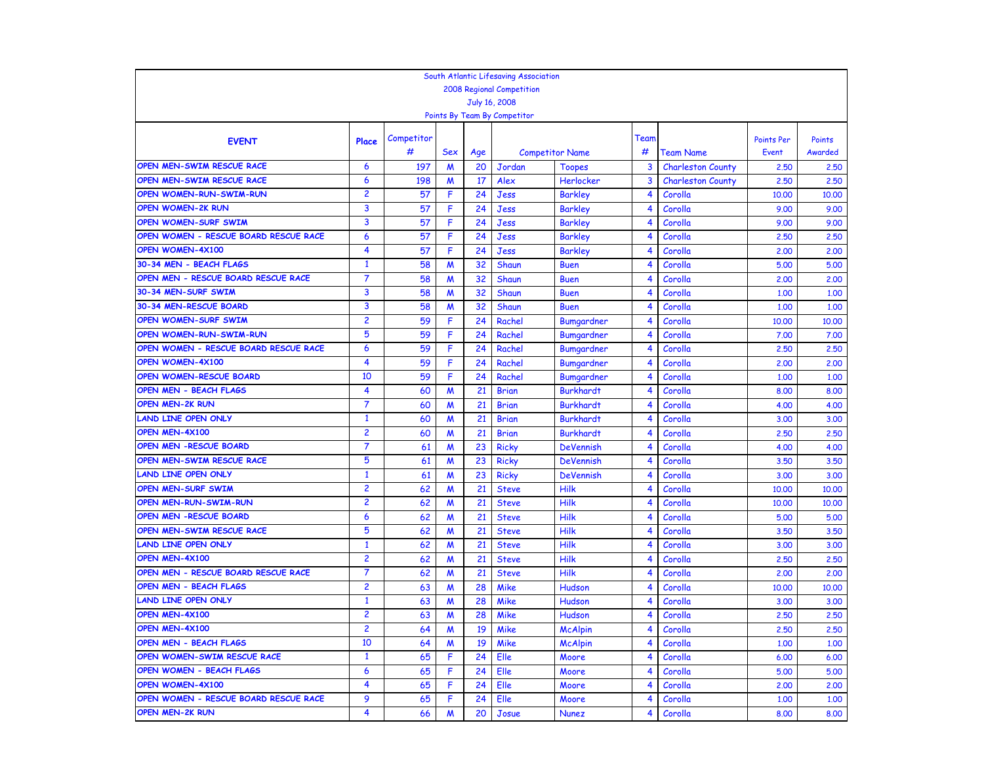|                                       |                |            |     |           | South Atlantic Lifesaving Association |                            |      |                                              |                            |                   |
|---------------------------------------|----------------|------------|-----|-----------|---------------------------------------|----------------------------|------|----------------------------------------------|----------------------------|-------------------|
|                                       |                |            |     |           | <b>2008 Regional Competition</b>      |                            |      |                                              |                            |                   |
|                                       |                |            |     |           | July 16, 2008                         |                            |      |                                              |                            |                   |
|                                       |                |            |     |           | Points By Team By Competitor          |                            |      |                                              |                            |                   |
|                                       |                | Competitor |     |           |                                       |                            | Team |                                              |                            |                   |
| <b>EVENT</b>                          | Place          | #          | Sex |           |                                       |                            | #    |                                              | <b>Points Per</b><br>Event | Points<br>Awarded |
| OPEN MEN-SWIM RESCUE RACE             | 6              | 197        | M   | Age<br>20 | Jordan                                | <b>Competitor Name</b>     | 3    | <b>Team Name</b><br><b>Charleston County</b> |                            |                   |
| OPEN MEN-SWIM RESCUE RACE             | 6              | 198        | M   | 17        | Alex                                  | <b>Toopes</b><br>Herlocker | 3    | <b>Charleston County</b>                     | 2,50<br>2.50               | 2,50<br>2,50      |
| <b>OPEN WOMEN-RUN-SWIM-RUN</b>        | $\overline{c}$ | 57         | F   | 24        | Jess                                  | <b>Barkley</b>             | 4    | Corolla                                      | 10,00                      | 10,00             |
| <b>OPEN WOMEN-2K RUN</b>              | 3              | 57         | F   | 24        | Jess                                  | <b>Barkley</b>             | 4    | Corolla                                      | 9.00                       | 9.00              |
| <b>OPEN WOMEN-SURF SWIM</b>           | 3              | 57         | F   | 24        | Jess                                  | <b>Barkley</b>             | 4    | Corolla                                      | 9.00                       | 9.00              |
| OPEN WOMEN - RESCUE BOARD RESCUE RACE | 6              | 57         | F   | 24        | Jess                                  | <b>Barkley</b>             | 4    | Corolla                                      | 2,50                       | 2,50              |
| OPEN WOMEN-4X100                      | 4              | 57         | F   | 24        | Jess                                  | <b>Barkley</b>             | 4    | Corolla                                      | 2,00                       | 2.00              |
| 30-34 MEN - BEACH FLAGS               | 1              | 58         | M   | 32        | Shaun                                 | <b>Buen</b>                | 4    | Corolla                                      | 5.00                       | 5.00              |
| OPEN MEN - RESCUE BOARD RESCUE RACE   | $\overline{7}$ | 58         | M   | 32        | Shaun                                 | <b>Buen</b>                | 4    | Corolla                                      | 2,00                       | 2,00              |
| 30-34 MEN-SURF SWIM                   | 3              | 58         | M   | 32        | Shaun                                 | <b>Buen</b>                | 4    | Corolla                                      | 1.00                       | 1,00              |
| 30-34 MEN-RESCUE BOARD                | 3              | 58         | M   | 32        | Shaun                                 | <b>Buen</b>                | 4    | Corolla                                      | 1.00                       | 1.00              |
| OPEN WOMEN-SURF SWIM                  | $\overline{c}$ | 59         | F   | 24        | Rachel                                | Bumgardner                 | 4    | Corolla                                      | 10,00                      | 10,00             |
| <b>OPEN WOMEN-RUN-SWIM-RUN</b>        | 5              | 59         | F   | 24        | Rachel                                | Bumgardner                 | 4    | Corolla                                      | 7.00                       | 7.00              |
| OPEN WOMEN - RESCUE BOARD RESCUE RACE | 6              | 59         | F   | 24        | Rachel                                | Bumgardner                 | 4    | Corolla                                      | 2,50                       | 2,50              |
| OPEN WOMEN-4X100                      | 4              | 59         | F   | 24        | Rachel                                | Bumgardner                 | 4    | Corolla                                      | 2,00                       | 2.00              |
| <b>OPEN WOMEN-RESCUE BOARD</b>        | 10             | 59         | F   | 24        | Rachel                                | Bumgardner                 | 4    | Corolla                                      | 1.00                       | 1,00              |
| <b>OPEN MEN - BEACH FLAGS</b>         | 4              | 60         | M   | 21        | <b>Brian</b>                          | <b>Burkhardt</b>           | 4    | Corolla                                      | 8.00                       | 8.00              |
| <b>OPEN MEN-2K RUN</b>                | $\overline{7}$ | 60         | M   | 21        | <b>Brian</b>                          | <b>Burkhardt</b>           | 4    | Corolla                                      | 4.00                       | 4.00              |
| <b>LAND LINE OPEN ONLY</b>            | $\mathbf{1}$   | 60         | M   | 21        | <b>Brian</b>                          | <b>Burkhardt</b>           | 4    | Corolla                                      | 3.00                       | 3.00              |
| OPEN MEN-4X100                        | $\overline{c}$ | 60         | M   | 21        | <b>Brian</b>                          | <b>Burkhardt</b>           | 4    | Corolla                                      | 2,50                       | 2.50              |
| OPEN MEN -RESCUE BOARD                | 7              | 61         | M   | 23        | <b>Ricky</b>                          | <b>DeVennish</b>           | 4    | Corolla                                      | 4.00                       | 4.00              |
| OPEN MEN-SWIM RESCUE RACE             | 5              | 61         | M   | 23        | <b>Ricky</b>                          | <b>DeVennish</b>           | 4    | Corolla                                      | 3.50                       | 3.50              |
| LAND LINE OPEN ONLY                   | $\mathbf{1}$   | 61         | M   | 23        | <b>Ricky</b>                          | <b>DeVennish</b>           | 4    | Corolla                                      | 3.00                       | 3.00              |
| <b>OPEN MEN-SURF SWIM</b>             | 2              | 62         | M   | 21        | <b>Steve</b>                          | Hilk                       | 4    | Corolla                                      | 10,00                      | 10,00             |
| OPEN MEN-RUN-SWIM-RUN                 | 2              | 62         | M   | 21        | <b>Steve</b>                          | Hilk                       | 4    | Corolla                                      | 10,00                      | 10,00             |
| <b>OPEN MEN -RESCUE BOARD</b>         | 6              | 62         | M   | 21        | <b>Steve</b>                          | Hilk                       | 4    | Corolla                                      | 5.00                       | 5.00              |
| OPEN MEN-SWIM RESCUE RACE             | 5              | 62         | M   | 21        | <b>Steve</b>                          | Hilk                       | 4    | Corolla                                      | 3.50                       | 3.50              |
| LAND LINE OPEN ONLY                   | $\mathbf{1}$   | 62         | M   | 21        | <b>Steve</b>                          | Hilk                       | 4    | Corolla                                      | 3.00                       | 3.00              |
| OPEN MEN-4X100                        | 2              | 62         | M   | 21        | <b>Steve</b>                          | <b>Hilk</b>                | 4    | Corolla                                      | 2,50                       | 2,50              |
| OPEN MEN - RESCUE BOARD RESCUE RACE   | $\overline{7}$ | 62         | M   | 21        | <b>Steve</b>                          | Hilk                       | 4    | Corolla                                      | 2,00                       | 2,00              |
| <b>OPEN MEN - BEACH FLAGS</b>         | 2              | 63         | M   | 28        | Mike                                  | Hudson                     | 4    | Corolla                                      | 10.00                      | 10,00             |
| LAND LINE OPEN ONLY                   | $\mathbf{1}$   | 63         | M   | 28        | Mike                                  | Hudson                     | 4    | Corolla                                      | 3.00                       | 3.00              |
| OPEN MEN-4X100                        | $\overline{c}$ | 63         | M   | 28        | Mike                                  | Hudson                     | 4    | Corolla                                      | 2,50                       | 2,50              |
| OPEN MEN-4X100                        | z              | 64         | M   | 19        | Mike                                  | <b>McAlpin</b>             |      | Corolla                                      | 2,50                       | 2,50              |
| OPEN MEN - BEACH FLAGS                | 10             | 64         | M   | 19        | Mike                                  | <b>McAlpin</b>             | 4    | Corolla                                      | 1.00                       | 1.00              |
| OPEN WOMEN-SWIM RESCUE RACE           | $\mathbf{1}$   | 65         | F   | 24        | Elle                                  | Moore                      | 4    | Corolla                                      | 6.00                       | 6.00              |
| OPEN WOMEN - BEACH FLAGS              | 6              | 65         | F   | 24        | Elle                                  | Moore                      | 4    | Corolla                                      | 5.00                       | 5.00              |
| OPEN WOMEN-4X100                      | 4              | 65         | F   | 24        | Elle                                  | Moore                      | 4    | Corolla                                      | 2,00                       | 2.00              |
| OPEN WOMEN - RESCUE BOARD RESCUE RACE | 9              | 65         | F   | 24        | Elle                                  | Moore                      | 4    | Corolla                                      | 1.00                       | 1.00              |
| <b>OPEN MEN-2K RUN</b>                | 4              | 66         | M   | 20        | Josue                                 | <b>Nunez</b>               | 4    | Corolla                                      | 8.00                       | 8.00              |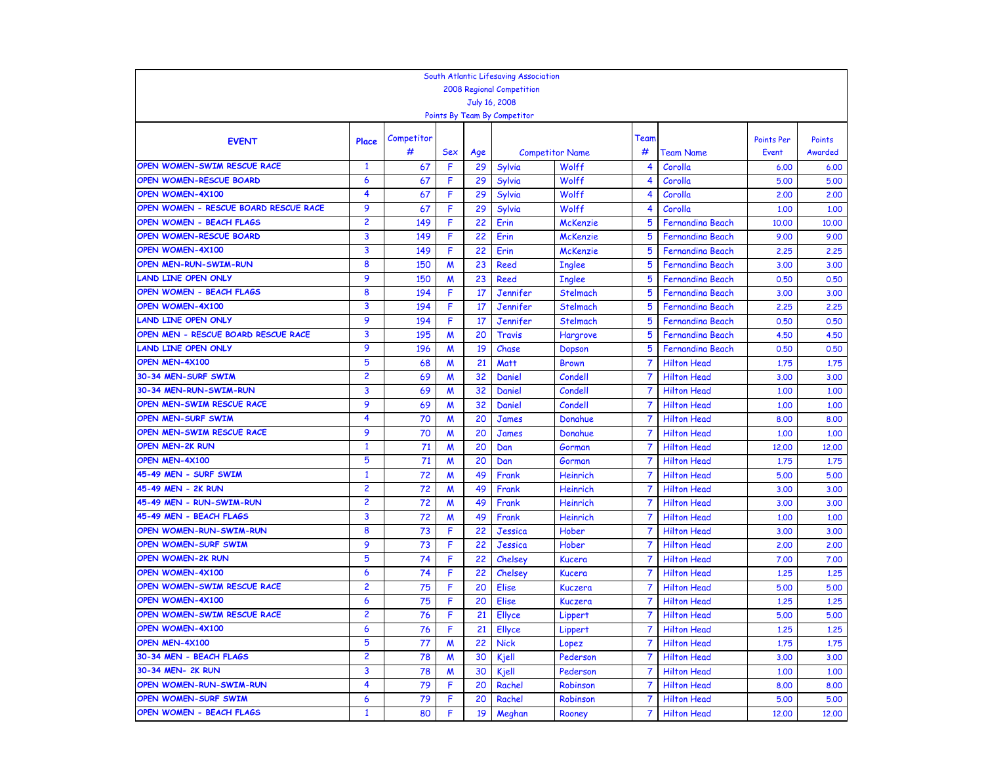|                                       |                |            |                  |     | South Atlantic Lifesaving Association |                        |                |                         |            |         |
|---------------------------------------|----------------|------------|------------------|-----|---------------------------------------|------------------------|----------------|-------------------------|------------|---------|
|                                       |                |            |                  |     | <b>2008 Regional Competition</b>      |                        |                |                         |            |         |
|                                       |                |            |                  |     | July 16, 2008                         |                        |                |                         |            |         |
|                                       |                |            |                  |     | Points By Team By Competitor          |                        |                |                         |            |         |
|                                       |                | Competitor |                  |     |                                       |                        | Team           |                         | Points Per | Points  |
| <b>EVENT</b>                          | Place          | #          | <b>Sex</b>       | Age |                                       | <b>Competitor Name</b> | #              | <b>Team Name</b>        | Event      | Awarded |
| OPEN WOMEN-SWIM RESCUE RACE           | $\mathbf{1}$   | 67         | F                | 29  | Sylvia                                | Wolff                  | 4              | Corolla                 | 6.00       | 6.00    |
| OPEN WOMEN-RESCUE BOARD               | 6              | 67         | F                | 29  | Sylvia                                | Wolff                  | 4              | Corolla                 | 5.00       | 5.00    |
| <b>OPEN WOMEN-4X100</b>               | 4              | 67         | F                | 29  | Sylvia                                | Wolff                  | 4              | Corolla                 | 2,00       | 2,00    |
| OPEN WOMEN - RESCUE BOARD RESCUE RACE | 9              | 67         | F                | 29  | Sylvia                                | Wolff                  | 4              | Corolla                 | 1.00       | 1.00    |
| <b>OPEN WOMEN - BEACH FLAGS</b>       | $\overline{c}$ | 149        | F                | 22  | Erin                                  | <b>McKenzie</b>        | 5              | <b>Fernandina Beach</b> | 10,00      | 10,00   |
| <b>OPEN WOMEN-RESCUE BOARD</b>        | 3              | 149        | F                | 22  | Erin                                  | <b>McKenzie</b>        | 5              | <b>Fernandina Beach</b> | 9.00       | 9.00    |
| OPEN WOMEN-4X100                      | 3              | 149        | F                | 22  | Erin                                  | <b>McKenzie</b>        | 5              | <b>Fernandina Beach</b> | 2,25       | 2.25    |
| <b>OPEN MEN-RUN-SWIM-RUN</b>          | 8              | 150        | M                | 23  | <b>Reed</b>                           | <b>Inglee</b>          | 5              | <b>Fernandina Beach</b> | 3.00       | 3.00    |
| LAND LINE OPEN ONLY                   | 9              | 150        | M                | 23  | Reed                                  | <b>Inglee</b>          | 5              | <b>Fernandina Beach</b> | 0.50       | 0.50    |
| <b>OPEN WOMEN - BEACH FLAGS</b>       | 8              | 194        | F                | 17  | Jennifer                              | Stelmach               | 5              | <b>Fernandina Beach</b> | 3.00       | 3.00    |
| OPEN WOMEN-4X100                      | 3              | 194        | F                | 17  | Jennifer                              | Stelmach               | 5              | <b>Fernandina Beach</b> | 2,25       | 2.25    |
| <b>LAND LINE OPEN ONLY</b>            | 9              | 194        | F                | 17  | Jennifer                              | Stelmach               | 5              | <b>Fernandina Beach</b> | 0.50       | 0.50    |
| OPEN MEN - RESCUE BOARD RESCUE RACE   | 3              | 195        | M                | 20  | Travis                                | Hargrove               | 5              | <b>Fernandina Beach</b> | 4.50       | 4.50    |
| LAND LINE OPEN ONLY                   | 9              | 196        | M                | 19  | Chase                                 | Dopson                 | 5              | <b>Fernandina Beach</b> | 0.50       | 0.50    |
| OPEN MEN-4X100                        | 5              | 68         | M                | 21  | <b>Matt</b>                           | <b>Brown</b>           |                | <b>Hilton Head</b>      | 1.75       | 1.75    |
| 30-34 MEN-SURF SWIM                   | $\overline{c}$ | 69         | M                | 32  | Daniel                                | Condell                |                | <b>Hilton Head</b>      | 3.00       | 3.00    |
| 30-34 MEN-RUN-SWIM-RUN                | 3              | 69         | M                | 32  | Daniel                                | Condell                |                | <b>Hilton Head</b>      | 1,00       | 1.00    |
| OPEN MEN-SWIM RESCUE RACE             | 9              | 69         | M                | 32  | Daniel                                | Condell                | 7              | <b>Hilton Head</b>      | 1.00       | 1,00    |
| OPEN MEN-SURF SWIM                    | 4              | 70         | M                | 20  | <b>James</b>                          | Donahue                | $\overline{7}$ | <b>Hilton Head</b>      | 8.00       | 8.00    |
| OPEN MEN-SWIM RESCUE RACE             | 9              | 70         | M                | 20  | <b>James</b>                          | Donahue                | 7              | <b>Hilton Head</b>      | 1.00       | 1.00    |
| <b>OPEN MEN-2K RUN</b>                | $\mathbf{1}$   | 71         | $\boldsymbol{M}$ | 20  | Dan                                   | Gorman                 |                | <b>Hilton Head</b>      | 12,00      | 12,00   |
| OPEN MEN-4X100                        | 5              | 71         | M                | 20  | Dan                                   | Gorman                 | 7              | <b>Hilton Head</b>      | 1,75       | 1,75    |
| 45-49 MEN - SURF SWIM                 | $\mathbf{1}$   | 72         | W                | 49  | Frank                                 | Heinrich               | $\overline{7}$ | <b>Hilton Head</b>      | 5.00       | 5.00    |
| 45-49 MEN - 2K RUN                    | $\overline{c}$ | 72         | $\boldsymbol{M}$ | 49  | Frank                                 | Heinrich               | 7              | <b>Hilton Head</b>      | 3.00       | 3.00    |
| 45-49 MEN - RUN-SWIM-RUN              | $\overline{c}$ | 72         | W                | 49  | Frank                                 | Heinrich               | 7              | <b>Hilton Head</b>      | 3.00       | 3.00    |
| 45-49 MEN - BEACH FLAGS               | 3              | 72         | M                | 49  | Frank                                 | Heinrich               | 7              | <b>Hilton Head</b>      | 1,00       | 1,00    |
| OPEN WOMEN-RUN-SWIM-RUN               | 8              | 73         | F                | 22  | Jessica                               | Hober                  | 7              | <b>Hilton Head</b>      | 3.00       | 3.00    |
| OPEN WOMEN-SURF SWIM                  | 9              | 73         | F                | 22  | Jessica                               | Hober                  | $\overline{7}$ | <b>Hilton Head</b>      | 2,00       | 2.00    |
| <b>OPEN WOMEN-2K RUN</b>              | 5              | 74         | F                | 22  | Chelsey                               | <b>Kucera</b>          | 7              | <b>Hilton Head</b>      | 7.00       | 7.00    |
| <b>OPEN WOMEN-4X100</b>               | 6              | 74         | F                | 22  | Chelsey                               | Kucera                 | 7              | <b>Hilton Head</b>      | 1.25       | 1.25    |
| OPEN WOMEN-SWIM RESCUE RACE           | $\overline{2}$ | 75         | F                | 20  | <b>Elise</b>                          | Kuczera                | 7              | <b>Hilton Head</b>      | 5.00       | 5.00    |
| OPEN WOMEN-4X100                      | 6              | 75         | F                | 20  | <b>Elise</b>                          | Kuczera                | 7              | <b>Hilton Head</b>      | 1.25       | 1,25    |
| OPEN WOMEN-SWIM RESCUE RACE           | 2              | 76         | F                | 21  | <b>Ellyce</b>                         | Lippert                |                | <b>Hilton Head</b>      | 5.00       | 5.00    |
| <b>OPEN WOMEN-4X100</b>               | 6              | 76         | ۴                | 21  | <b>Ellyce</b>                         | Lippert                |                | <b>Hilton Head</b>      | 1.25       | 1.25    |
| OPEN MEN-4X100                        | 5              | 77         | M                | 22  | <b>Nick</b>                           | Lopez                  | $\overline{7}$ | <b>Hilton Head</b>      | 1,75       | 1.75    |
| 30-34 MEN - BEACH FLAGS               | $\overline{c}$ | 78         | M                | 30  | Kjell                                 | Pederson               | 7              | <b>Hilton Head</b>      | 3.00       | 3.00    |
| 30-34 MEN- 2K RUN                     | 3              | 78         | M                | 30  | Kjell                                 | Pederson               | 7              | <b>Hilton Head</b>      | 1.00       | 1,00    |
| <b>OPEN WOMEN-RUN-SWIM-RUN</b>        | 4              | 79         | F                | 20  | Rachel                                | Robinson               |                | <b>Hilton Head</b>      | 8.00       | 8.00    |
| OPEN WOMEN-SURF SWIM                  | 6              | 79         | F                | 20  | Rachel                                | Robinson               | 7              | <b>Hilton Head</b>      | 5.00       | 5.00    |
| OPEN WOMEN - BEACH FLAGS              | $\mathbf{1}$   | 80         | F                | 19  | Meghan                                | Rooney                 | 7              | <b>Hilton Head</b>      | 12,00      | 12,00   |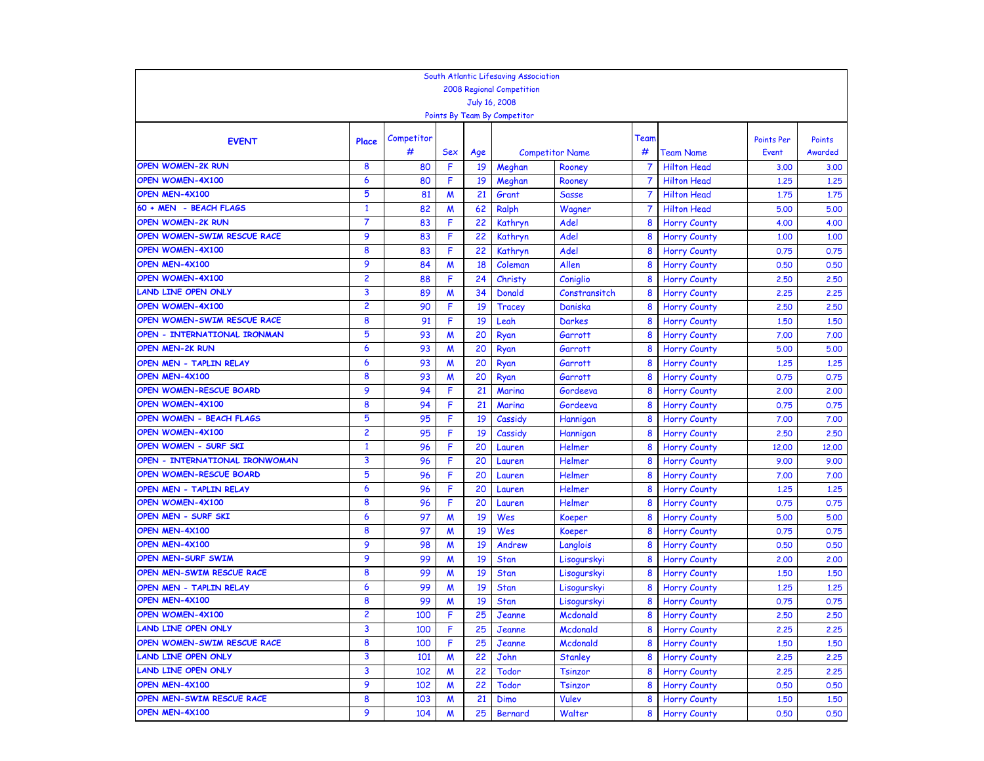|                                |                                |                 |                  |          | South Atlantic Lifesaving Association |                        |                |                                          |                   |              |
|--------------------------------|--------------------------------|-----------------|------------------|----------|---------------------------------------|------------------------|----------------|------------------------------------------|-------------------|--------------|
|                                |                                |                 |                  |          | 2008 Regional Competition             |                        |                |                                          |                   |              |
|                                |                                |                 |                  |          | July 16, 2008                         |                        |                |                                          |                   |              |
|                                |                                |                 |                  |          | Points By Team By Competitor          |                        |                |                                          |                   |              |
|                                |                                |                 |                  |          |                                       |                        |                |                                          |                   |              |
| <b>EVENT</b>                   | Place                          | Competitor<br># |                  |          |                                       |                        | Team<br>#      |                                          | <b>Points Per</b> | Points       |
| <b>OPEN WOMEN-2K RUN</b>       | 8                              |                 | Sex              | Age      |                                       | <b>Competitor Name</b> | 7              | Team Name                                | Event             | Awarded      |
| OPEN WOMEN-4X100               | 6                              | 80              | F<br>F           | 19       | Meghan                                | Rooney                 | $\overline{7}$ | <b>Hilton Head</b>                       | 3.00              | 3.00         |
| OPEN MEN-4X100                 | 5                              | 80<br>81        | $\boldsymbol{M}$ | 19<br>21 | Meghan                                | Rooney                 |                | <b>Hilton Head</b><br><b>Hilton Head</b> | 1.25              | 1,25<br>1,75 |
| 60 + MEN - BEACH FLAGS         |                                |                 |                  |          | Grant                                 | <b>Sasse</b>           | 7              |                                          | 1,75              |              |
| <b>OPEN WOMEN-2K RUN</b>       | $\mathbf{1}$<br>$\overline{7}$ | 82              | M<br>F           | 62       | Ralph                                 | Wagner                 |                | <b>Hilton Head</b>                       | 5.00              | 5.00         |
| OPEN WOMEN-SWIM RESCUE RACE    |                                | 83              |                  | 22       | Kathryn                               | Adel                   | 8              | <b>Horry County</b>                      | 4.00              | 4.00         |
|                                | 9                              | 83              | F                | 22       | Kathryn                               | Adel                   | 8              | <b>Horry County</b>                      | 1.00              | 1,00         |
| OPEN WOMEN-4X100               | 8                              | 83              | F                | 22       | Kathryn                               | Adel                   | 8              | <b>Horry County</b>                      | 0.75              | 0.75         |
| OPEN MEN-4X100                 | 9                              | 84              | M                | 18       | Coleman                               | Allen                  | 8              | <b>Horry County</b>                      | 0.50              | 0.50         |
| <b>OPEN WOMEN-4X100</b>        | $\overline{c}$                 | 88              | F                | 24       | Christy                               | Coniglio               | 8              | <b>Horry County</b>                      | 2,50              | 2,50         |
| <b>LAND LINE OPEN ONLY</b>     | 3                              | 89              | M                | 34       | Donald                                | Constransitch          | 8              | <b>Horry County</b>                      | 2,25              | 2,25         |
| <b>OPEN WOMEN-4X100</b>        | $\overline{c}$                 | 90              | F                | 19       | Tracey                                | Daniska                | 8              | <b>Horry County</b>                      | 2,50              | 2,50         |
| OPEN WOMEN-SWIM RESCUE RACE    | 8                              | 91              | F                | 19       | Leah                                  | <b>Darkes</b>          | 8              | <b>Horry County</b>                      | 1,50              | 1.50         |
| OPEN - INTERNATIONAL IRONMAN   | 5                              | 93              | M                | 20       | Ryan                                  | Garrott                | 8              | <b>Horry County</b>                      | 7.00              | 7.00         |
| <b>OPEN MEN-2K RUN</b>         | 6                              | 93              | M                | 20       | Ryan                                  | Garrott                | 8              | <b>Horry County</b>                      | 5.00              | 5.00         |
| OPEN MEN - TAPLIN RELAY        | 6                              | 93              | M                | 20       | Ryan                                  | Garrott                | 8              | <b>Horry County</b>                      | 1.25              | 1,25         |
| OPEN MEN-4X100                 | 8                              | 93              | M                | 20       | Ryan                                  | Garrott                | 8              | <b>Horry County</b>                      | 0.75              | 0.75         |
| OPEN WOMEN-RESCUE BOARD        | 9                              | 94              | F                | 21       | Marina                                | Gordeeva               | 8              | <b>Horry County</b>                      | 2,00              | 2,00         |
| OPEN WOMEN-4X100               | 8                              | 94              | F                | 21       | Marina                                | Gordeeva               | 8              | <b>Horry County</b>                      | 0.75              | 0.75         |
| OPEN WOMEN - BEACH FLAGS       | 5                              | 95              | F                | 19       | Cassidy                               | Hannigan               | 8              | <b>Horry County</b>                      | 7.00              | 7.00         |
| <b>OPEN WOMEN-4X100</b>        | $\overline{c}$                 | 95              | F                | 19       | Cassidy                               | Hannigan               | 8              | <b>Horry County</b>                      | 2,50              | 2,50         |
| OPEN WOMEN - SURF SKI          | 1                              | 96              | F                | 20       | Lauren                                | Helmer                 | 8              | <b>Horry County</b>                      | 12,00             | 12,00        |
| OPEN - INTERNATIONAL IRONWOMAN | 3                              | 96              | F                | 20       | Lauren                                | Helmer                 | 8              | <b>Horry County</b>                      | 9.00              | 9.00         |
| OPEN WOMEN-RESCUE BOARD        | 5                              | 96              | F                | 20       | Lauren                                | Helmer                 | 8              | <b>Horry County</b>                      | 7.00              | 7.00         |
| OPEN MEN - TAPLIN RELAY        | 6                              | 96              | F                | 20       | Lauren                                | <b>Helmer</b>          | 8              | <b>Horry County</b>                      | 1.25              | 1,25         |
| OPEN WOMEN-4X100               | 8                              | 96              | F                | 20       | Lauren                                | <b>Helmer</b>          | 8              | <b>Horry County</b>                      | 0.75              | 0.75         |
| OPEN MEN - SURF SKI            | 6                              | 97              | M                | 19       | Wes                                   | <b>Koeper</b>          | 8              | <b>Horry County</b>                      | 5.00              | 5.00         |
| OPEN MEN-4X100                 | 8                              | 97              | M                | 19       | Wes                                   | Koeper                 | 8              | <b>Horry County</b>                      | 0.75              | 0.75         |
| OPEN MEN-4X100                 | 9                              | 98              | M                | 19       | Andrew                                | Langlois               | 8              | <b>Horry County</b>                      | 0.50              | 0.50         |
| <b>OPEN MEN-SURF SWIM</b>      | 9                              | 99              | M                | 19       | <b>Stan</b>                           | Lisogurskyi            | 8              | <b>Horry County</b>                      | 2,00              | 2,00         |
| OPEN MEN-SWIM RESCUE RACE      | 8                              | 99              | M                | 19       | <b>Stan</b>                           | Lisogurskyi            | 8              | <b>Horry County</b>                      | 1.50              | 1,50         |
| OPEN MEN - TAPLIN RELAY        | 6                              | 99              | M                | 19       | Stan                                  | Lisogurskyi            | 8              | <b>Horry County</b>                      | 1.25              | 1,25         |
| OPEN MEN-4X100                 | 8                              | 99              | M                | 19       | <b>Stan</b>                           | Lisogurskyi            | 8              | <b>Horry County</b>                      | 0.75              | 0.75         |
| <b>OPEN WOMEN-4X100</b>        | $\overline{c}$                 | 100             | F                | 25       | <b>Jeanne</b>                         | Mcdonald               | 8              | <b>Horry County</b>                      | 2,50              | 2,50         |
| LAND LINE OPEN ONLY            | 3                              | 100             | F                | 25       | Jeanne                                | Mcdonald               | 8              | <b>Horry County</b>                      | 2,25              | 2,25         |
| OPEN WOMEN-SWIM RESCUE RACE    | 8                              | 100             | F                | 25       | Jeanne                                | Mcdonald               | 8              | <b>Horry County</b>                      | 1.50              | 1.50         |
| <b>LAND LINE OPEN ONLY</b>     | 3                              | 101             | M                | 22       | John                                  | <b>Stanley</b>         | 8              | <b>Horry County</b>                      | 2,25              | 2,25         |
| <b>LAND LINE OPEN ONLY</b>     | 3                              | 102             | M                | 22       | Todor                                 | <b>Tsinzor</b>         | 8              | <b>Horry County</b>                      | 2,25              | 2,25         |
| OPEN MEN-4X100                 | 9                              | 102             | M                | 22       | <b>Todor</b>                          | <b>Tsinzor</b>         | 8              | <b>Horry County</b>                      | 0.50              | 0.50         |
| OPEN MEN-SWIM RESCUE RACE      | 8                              | 103             | M                | 21       | Dimo                                  | <b>Vulev</b>           | 8              | <b>Horry County</b>                      | 1.50              | 1.50         |
| OPEN MEN-4X100                 | 9                              | 104             | M                | 25       | Bernard                               | Walter                 | 8              | <b>Horry County</b>                      | 0.50              | 0.50         |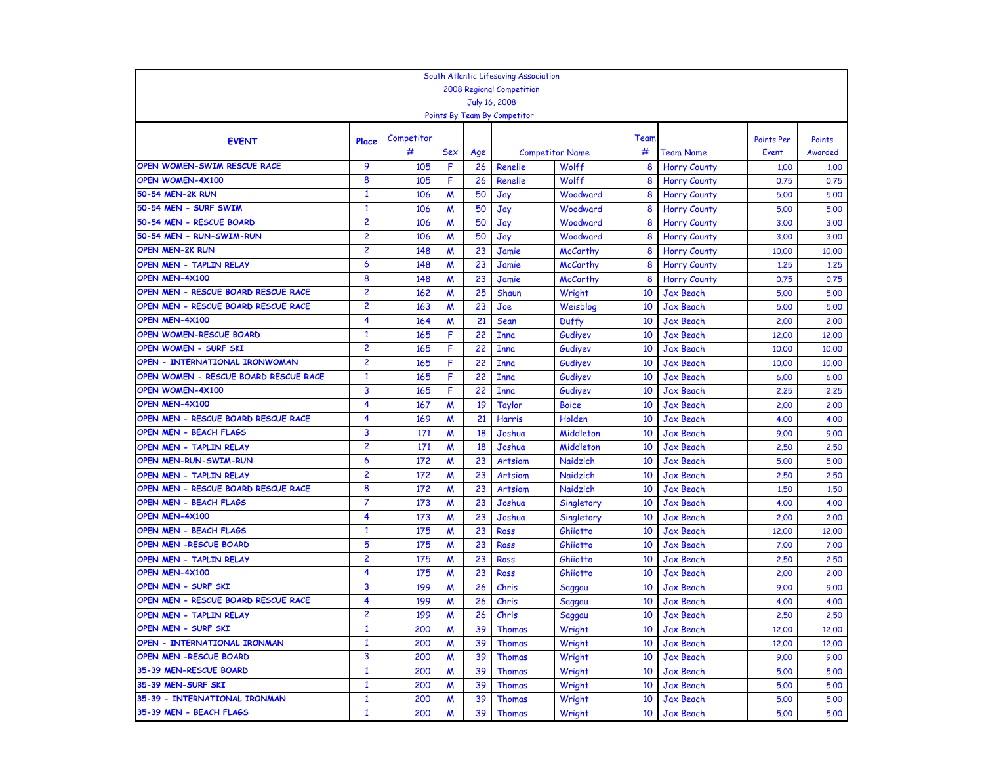|                                       |                                  |            |                  |           | South Atlantic Lifesaving Association |                        |        |                     |                     |                   |  |
|---------------------------------------|----------------------------------|------------|------------------|-----------|---------------------------------------|------------------------|--------|---------------------|---------------------|-------------------|--|
|                                       | <b>2008 Regional Competition</b> |            |                  |           |                                       |                        |        |                     |                     |                   |  |
|                                       |                                  |            |                  |           | July 16, 2008                         |                        |        |                     |                     |                   |  |
|                                       |                                  |            |                  |           | Points By Team By Competitor          |                        |        |                     |                     |                   |  |
|                                       |                                  | Competitor |                  |           |                                       |                        | Team   |                     |                     |                   |  |
| <b>EVENT</b>                          | Place                            | #          | Sex              |           |                                       | <b>Competitor Name</b> | #      |                     | Points Per<br>Event | Points<br>Awarded |  |
| OPEN WOMEN-SWIM RESCUE RACE           | 9                                |            | F                | Age<br>26 |                                       | Wolff                  |        | <b>Team Name</b>    |                     |                   |  |
| OPEN WOMEN-4X100                      | 8                                | 105        | F                | 26        | Renelle                               | Wolff                  | 8<br>8 | <b>Horry County</b> | 1,00                | 1.00              |  |
| 50-54 MEN-2K RUN                      | $\mathbf{1}$                     | 105<br>106 | M                | 50        | Renelle<br>Jay                        | Woodward               | 8      | <b>Horry County</b> | 0.75<br>5.00        | 0.75<br>5.00      |  |
| 50-54 MEN - SURF SWIM                 | 1                                | 106        | W                | 50        | Jay                                   | Woodward               | 8      | <b>Horry County</b> | 5.00                | 5.00              |  |
| 50-54 MEN - RESCUE BOARD              | $\overline{c}$                   | 106        | $\boldsymbol{M}$ | 50        |                                       | Woodward               | 8      | <b>Horry County</b> |                     | 3.00              |  |
| 50-54 MEN - RUN-SWIM-RUN              | 2                                |            |                  | 50        | Jay                                   |                        | 8      | <b>Horry County</b> | 3.00                |                   |  |
| <b>OPEN MEN-2K RUN</b>                |                                  | 106        | M                |           | Jay                                   | Woodward               |        | <b>Horry County</b> | 3.00                | 3.00              |  |
|                                       | 2                                | 148        | M                | 23        | Jamie                                 | <b>McCarthy</b>        | 8      | <b>Horry County</b> | 10.00               | 10,00             |  |
| OPEN MEN - TAPLIN RELAY               | 6                                | 148        | M                | 23        | Jamie                                 | <b>McCarthy</b>        | 8      | <b>Horry County</b> | 1.25                | 1,25              |  |
| OPEN MEN-4X100                        | 8                                | 148        | M                | 23        | Jamie                                 | <b>McCarthy</b>        | 8      | <b>Horry County</b> | 0.75                | 0.75              |  |
| OPEN MEN - RESCUE BOARD RESCUE RACE   | $\overline{2}$                   | 162        | M                | 25        | Shaun                                 | Wright                 | 10     | <b>Jax Beach</b>    | 5.00                | 5.00              |  |
| OPEN MEN - RESCUE BOARD RESCUE RACE   | $\overline{c}$                   | 163        | $\boldsymbol{M}$ | 23        | Joe                                   | Weisblog               | 10     | <b>Jax Beach</b>    | 5.00                | 5.00              |  |
| OPEN MEN-4X100                        | 4                                | 164        | W                | 21        | Sean                                  | Duffy                  | 10     | <b>Jax Beach</b>    | 2,00                | 2.00              |  |
| <b>OPEN WOMEN-RESCUE BOARD</b>        | $\mathbf{1}$                     | 165        | F                | 22        | <b>Inna</b>                           | Gudiyev                | 10     | <b>Jax Beach</b>    | 12,00               | 12,00             |  |
| OPEN WOMEN - SURF SKI                 | $\overline{c}$                   | 165        | F                | 22        | <b>Inna</b>                           | Gudiyev                | 10     | <b>Jax Beach</b>    | 10,00               | 10,00             |  |
| OPEN - INTERNATIONAL IRONWOMAN        | $\overline{c}$                   | 165        | F                | 22        | <b>Inna</b>                           | Gudiyev                | 10     | <b>Jax Beach</b>    | 10,00               | 10,00             |  |
| OPEN WOMEN - RESCUE BOARD RESCUE RACE | $\mathbf{1}$                     | 165        | F                | 22        | <b>Inna</b>                           | Gudiyev                | 10     | <b>Jax Beach</b>    | 6.00                | 6.00              |  |
| <b>OPEN WOMEN-4X100</b>               | 3                                | 165        | F                | 22        | <b>Inna</b>                           | Gudiyev                | 10     | <b>Jax Beach</b>    | 2,25                | 2.25              |  |
| OPEN MEN-4X100                        | 4                                | 167        | M                | 19        | Taylor                                | <b>Boice</b>           | 10     | <b>Jax Beach</b>    | 2,00                | 2.00              |  |
| OPEN MEN - RESCUE BOARD RESCUE RACE   | 4                                | 169        | $\boldsymbol{M}$ | 21        | Harris                                | Holden                 | 10     | <b>Jax Beach</b>    | 4.00                | 4.00              |  |
| <b>OPEN MEN - BEACH FLAGS</b>         | 3                                | 171        | W                | 18        | Joshua                                | Middleton              | 10     | <b>Jax Beach</b>    | 9.00                | 9.00              |  |
| OPEN MEN - TAPLIN RELAY               | 2                                | 171        | M                | 18        | Joshua                                | Middleton              | 10     | Jax Beach           | 2,50                | 2,50              |  |
| <b>OPEN MEN-RUN-SWIM-RUN</b>          | 6                                | 172        | M                | 23        | <b>Artsiom</b>                        | Naidzich               | 10     | <b>Jax Beach</b>    | 5.00                | 5.00              |  |
| OPEN MEN - TAPLIN RELAY               | 2                                | 172        | W                | 23        | <b>Artsiom</b>                        | Naidzich               | 10     | <b>Jax Beach</b>    | 2,50                | 2,50              |  |
| OPEN MEN - RESCUE BOARD RESCUE RACE   | 8                                | 172        | M                | 23        | <b>Artsiom</b>                        | Naidzich               | 10     | <b>Jax Beach</b>    | 1,50                | 1,50              |  |
| <b>OPEN MEN - BEACH FLAGS</b>         | 7                                | 173        | M                | 23        | Joshua                                | Singletory             | 10     | <b>Jax Beach</b>    | 4.00                | 4.00              |  |
| OPEN MEN-4X100                        | 4                                | 173        | M                | 23        | Joshua                                | Singletory             | 10     | <b>Jax Beach</b>    | 2,00                | 2.00              |  |
| <b>OPEN MEN - BEACH FLAGS</b>         | $\mathbf{1}$                     | 175        | M                | 23        | Ross                                  | Ghiiotto               | 10     | <b>Jax Beach</b>    | 12,00               | 12,00             |  |
| <b>OPEN MEN -RESCUE BOARD</b>         | 5                                | 175        | M                | 23        | Ross                                  | Ghiiotto               | 10     | <b>Jax Beach</b>    | 7.00                | 7.00              |  |
| OPEN MEN - TAPLIN RELAY               | 2                                | 175        | M                | 23        | Ross                                  | Ghiiotto               | 10     | <b>Jax Beach</b>    | 2,50                | 2,50              |  |
| OPEN MEN-4X100                        | 4                                | 175        | M                | 23        | Ross                                  | Ghiiotto               | 10     | Jax Beach           | 2,00                | 2.00              |  |
| OPEN MEN - SURF SKI                   | 3                                | 199        | M                | 26        | Chris                                 | Saggau                 | 10     | <b>Jax Beach</b>    | 9.00                | 9.00              |  |
| OPEN MEN - RESCUE BOARD RESCUE RACE   | 4                                | 199        | M                | 26        | Chris                                 | Saggau                 | 10     | <b>Jax Beach</b>    | 4.00                | 4.00              |  |
| OPEN MEN - TAPLIN RELAY               | $\overline{c}$                   | 199        | M                | 26        | Chris                                 | Saggau                 | 10     | <b>Jax Beach</b>    | 2,50                | 2,50              |  |
| OPEN MEN - SURF SKI                   | 1                                | 200        | M                | 39        | <b>Thomas</b>                         | Wright                 | 10     | Jax Beach           | 12,00               | 12,00             |  |
| OPEN - INTERNATIONAL IRONMAN          | $\mathbf{1}$                     | 200        | M                | 39        | <b>Thomas</b>                         | Wright                 | 10     | <b>Jax Beach</b>    | 12,00               | 12,00             |  |
| OPEN MEN - RESCUE BOARD               | 3                                | 200        | M                | 39        | <b>Thomas</b>                         | Wright                 | 10     | Jax Beach           | 9.00                | 9.00              |  |
| 35-39 MEN-RESCUE BOARD                | $\mathbf{1}$                     | 200        | M                | 39        | <b>Thomas</b>                         | Wright                 | 10     | Jax Beach           | 5.00                | 5.00              |  |
| 35-39 MEN-SURF SKI                    | $\mathbf{1}$                     | 200        | M                | 39        | <b>Thomas</b>                         | Wright                 | 10     | Jax Beach           | 5.00                | 5.00              |  |
| 35-39 - INTERNATIONAL IRONMAN         | $\mathbf{1}$                     | 200        | M                | 39        | <b>Thomas</b>                         | Wright                 | 10     | Jax Beach           | 5.00                | 5.00              |  |
| 35-39 MEN - BEACH FLAGS               | $\mathbf{1}$                     | 200        | M                | 39        | <b>Thomas</b>                         | Wright                 | 10     | <b>Jax Beach</b>    | 5.00                | 5.00              |  |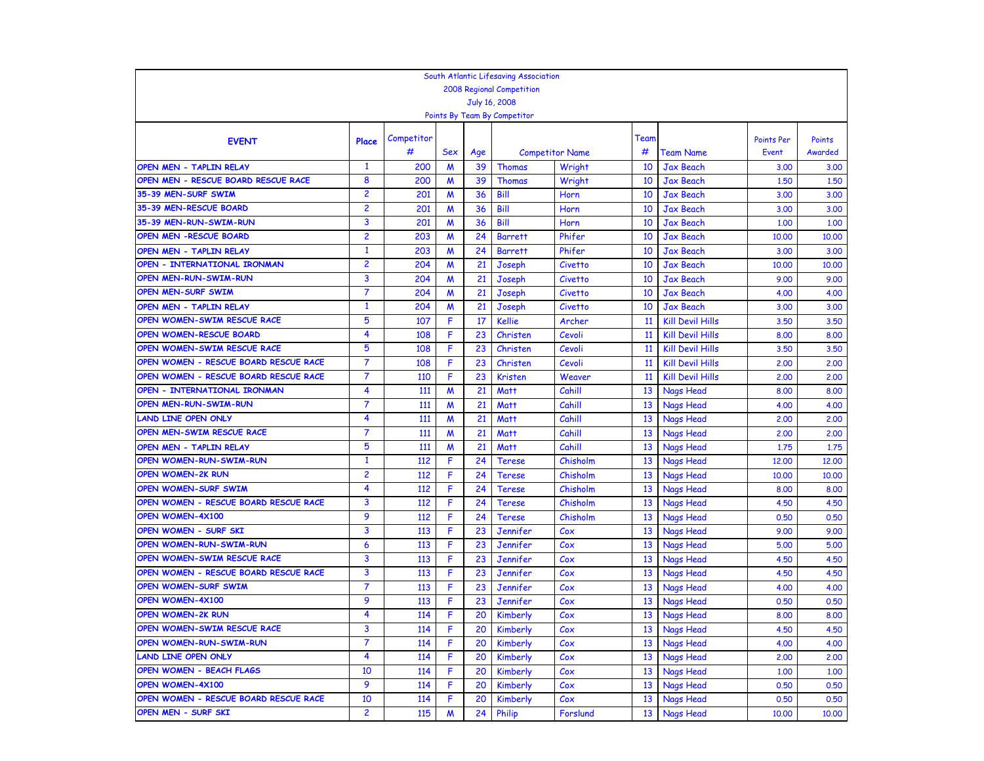|                                       |                           |            |                  |           | South Atlantic Lifesaving Association |                        |      |                         |                     |                   |  |
|---------------------------------------|---------------------------|------------|------------------|-----------|---------------------------------------|------------------------|------|-------------------------|---------------------|-------------------|--|
|                                       | 2008 Regional Competition |            |                  |           |                                       |                        |      |                         |                     |                   |  |
|                                       |                           |            |                  |           | July 16, 2008                         |                        |      |                         |                     |                   |  |
|                                       |                           |            |                  |           | Points By Team By Competitor          |                        |      |                         |                     |                   |  |
|                                       |                           | Competitor |                  |           |                                       |                        | Team |                         |                     |                   |  |
| <b>EVENT</b>                          | Place                     | #          | Sex              |           |                                       | <b>Competitor Name</b> | #    | <b>Team Name</b>        | Points Per<br>Event | Points<br>Awarded |  |
| OPEN MEN - TAPLIN RELAY               | 1                         | 200        | M                | Age<br>39 | Thomas                                | Wright                 | 10   | <b>Jax Beach</b>        | 3.00                | 3.00              |  |
| OPEN MEN - RESCUE BOARD RESCUE RACE   | 8                         | 200        | M                | 39        | <b>Thomas</b>                         | Wright                 | 10   | <b>Jax Beach</b>        | 1,50                | 1.50              |  |
| 35-39 MEN-SURF SWIM                   | $\overline{c}$            | 201        | M                | 36        | Bill                                  | Horn                   | 10   | <b>Jax Beach</b>        | 3.00                | 3.00              |  |
| 35-39 MEN-RESCUE BOARD                | 2                         | 201        | M                | 36        | Bill                                  | Horn                   | 10   | <b>Jax Beach</b>        | 3.00                | 3.00              |  |
| 35-39 MEN-RUN-SWIM-RUN                | 3                         | 201        | M                | 36        | Bill                                  | Horn                   | 10   | <b>Jax Beach</b>        | 1,00                | 1.00              |  |
| <b>OPEN MEN -RESCUE BOARD</b>         | $\overline{c}$            | 203        | M                | 24        | <b>Barrett</b>                        | Phifer                 | 10   | <b>Jax Beach</b>        | 10,00               | 10,00             |  |
| <b>OPEN MEN - TAPLIN RELAY</b>        | $\mathbf{1}$              | 203        | M                | 24        | <b>Barrett</b>                        | Phifer                 | 10   | <b>Jax Beach</b>        | 3.00                | 3.00              |  |
| OPEN - INTERNATIONAL IRONMAN          | $\overline{c}$            | 204        | M                | 21        | Joseph                                | <b>Civetto</b>         | 10   | <b>Jax Beach</b>        | 10,00               | 10,00             |  |
| OPEN MEN-RUN-SWIM-RUN                 | 3                         | 204        | M                | 21        | Joseph                                | Civetto                | 10   | <b>Jax Beach</b>        | 9.00                | 9.00              |  |
| OPEN MEN-SURF SWIM                    | $\overline{7}$            | 204        | M                | 21        | Joseph                                | <b>Civetto</b>         | 10   | <b>Jax Beach</b>        | 4.00                | 4.00              |  |
| OPEN MEN - TAPLIN RELAY               | $\mathbf{1}$              | 204        | M                | 21        | Joseph                                | Civetto                | 10   | <b>Jax Beach</b>        | 3.00                | 3.00              |  |
| OPEN WOMEN-SWIM RESCUE RACE           | 5                         | 107        | F                | 17        | <b>Kellie</b>                         | Archer                 | 11   | <b>Kill Devil Hills</b> | 3.50                | 3.50              |  |
| OPEN WOMEN-RESCUE BOARD               | 4                         | 108        | F                | 23        | Christen                              | Cevoli                 | 11   | <b>Kill Devil Hills</b> | 8.00                | 8.00              |  |
| OPEN WOMEN-SWIM RESCUE RACE           | 5                         | 108        | F                | 23        | Christen                              | Cevoli                 | 11   | <b>Kill Devil Hills</b> | 3.50                | 3.50              |  |
| OPEN WOMEN - RESCUE BOARD RESCUE RACE | 7                         | 108        | F                | 23        | Christen                              | Cevoli                 | 11   | <b>Kill Devil Hills</b> | 2,00                | 2.00              |  |
| OPEN WOMEN - RESCUE BOARD RESCUE RACE | $\overline{7}$            | 110        | F                | 23        | <b>Kristen</b>                        | Weaver                 | 11   | <b>Kill Devil Hills</b> | 2,00                | 2.00              |  |
| OPEN - INTERNATIONAL IRONMAN          | 4                         | 111        | M                | 21        | <b>Matt</b>                           | Cahill                 | 13   | <b>Nags Head</b>        | 8.00                | 8.00              |  |
| OPEN MEN-RUN-SWIM-RUN                 | $\overline{7}$            | 111        | M                | 21        | <b>Matt</b>                           | Cahill                 | 13   | <b>Nags Head</b>        | 4.00                | 4.00              |  |
| <b>LAND LINE OPEN ONLY</b>            | 4                         | 111        | $\boldsymbol{M}$ | 21        | <b>Matt</b>                           | Cahill                 | 13   | Nags Head               | 2,00                | 2.00              |  |
| OPEN MEN-SWIM RESCUE RACE             | $\overline{7}$            | 111        | W                | 21        | <b>Matt</b>                           | Cahill                 | 13   | <b>Nags Head</b>        | 2,00                | 2.00              |  |
| OPEN MEN - TAPLIN RELAY               | 5                         | 111        | M                | 21        | <b>Matt</b>                           | Cahill                 | 13   | <b>Nags Head</b>        | 1.75                | 1,75              |  |
| <b>OPEN WOMEN-RUN-SWIM-RUN</b>        | $\mathbf{1}$              | 112        | F                | 24        | <b>Terese</b>                         | Chisholm               | 13   | <b>Nags Head</b>        | 12,00               | 12.00             |  |
| <b>OPEN WOMEN-2K RUN</b>              | 2                         | 112        | F                | 24        | <b>Terese</b>                         | Chisholm               | 13   | <b>Nags Head</b>        | 10,00               | 10,00             |  |
| <b>OPEN WOMEN-SURF SWIM</b>           | 4                         | 112        | F                | 24        | <b>Terese</b>                         | Chisholm               | 13   | <b>Nags Head</b>        | 8.00                | 8.00              |  |
| OPEN WOMEN - RESCUE BOARD RESCUE RACE | 3                         | 112        | F                | 24        | <b>Terese</b>                         | Chisholm               | 13   | Nags Head               | 4.50                | 4.50              |  |
| OPEN WOMEN-4X100                      | 9                         | 112        | F                | 24        | <b>Terese</b>                         | Chisholm               | 13   | <b>Nags Head</b>        | 0.50                | 0.50              |  |
| OPEN WOMEN - SURF SKI                 | 3                         | 113        | F                | 23        | Jennifer                              | Cox                    | 13   | Nags Head               | 9.00                | 9.00              |  |
| OPEN WOMEN-RUN-SWIM-RUN               | 6                         | 113        | F                | 23        | Jennifer                              | Cox                    | 13   | Nags Head               | 5.00                | 5.00              |  |
| OPEN WOMEN-SWIM RESCUE RACE           | 3                         | 113        | F                | 23        | Jennifer                              | Cox                    | 13   | Nags Head               | 4.50                | 4.50              |  |
| OPEN WOMEN - RESCUE BOARD RESCUE RACE | 3                         | 113        | F                | 23        | Jennifer                              | C <sub>ox</sub>        | 13   | Nags Head               | 4.50                | 4.50              |  |
| OPEN WOMEN-SURF SWIM                  | 7                         | 113        | F                | 23        | Jennifer                              | Cox                    | 13   | Nags Head               | 4.00                | 4.00              |  |
| OPEN WOMEN-4X100                      | 9                         | 113        | F                | 23        | Jennifer                              | Cox                    | 13   | <b>Nags Head</b>        | 0.50                | 0.50              |  |
| <b>OPEN WOMEN-2K RUN</b>              | 4                         | 114        | F                | 20        | Kimberly                              | Cox                    | 13   | Nags Head               | 8.00                | 8.00              |  |
| OPEN WOMEN-SWIM RESCUE RACE           | 3                         | 114        | F                | 20        | Kimberly                              | Cox                    | 13   | Nags Head               | 4.50                | 4.50              |  |
| OPEN WOMEN-RUN-SWIM-RUN               | $\overline{7}$            | 114        | F                | 20        | Kimberly                              | Cox                    | 13   | <b>Nags Head</b>        | 4.00                | 4.00              |  |
| <b>LAND LINE OPEN ONLY</b>            | 4                         | 114        | F                | 20        | Kimberly                              | Cox                    | 13   | <b>Nags Head</b>        | 2,00                | 2,00              |  |
| <b>OPEN WOMEN - BEACH FLAGS</b>       | 10                        | 114        | F                | 20        | Kimberly                              | $\mathcal{C}$ ox       | 13   | Nags Head               | 1.00                | 1,00              |  |
| OPEN WOMEN-4X100                      | 9                         | 114        | F                | 20        | Kimberly                              | $\mathcal{C}$ ox       | 13   | Nags Head               | 0.50                | 0.50              |  |
| OPEN WOMEN - RESCUE BOARD RESCUE RACE | 10                        | 114        | F                | 20        | Kimberly                              | Cox                    | 13   | <b>Nags Head</b>        | 0.50                | 0.50              |  |
| OPEN MEN - SURF SKI                   | $\overline{2}$            | 115        | M                | 24        | Philip                                | Forslund               | 13   | <b>Nags Head</b>        | 10.00               | 10.00             |  |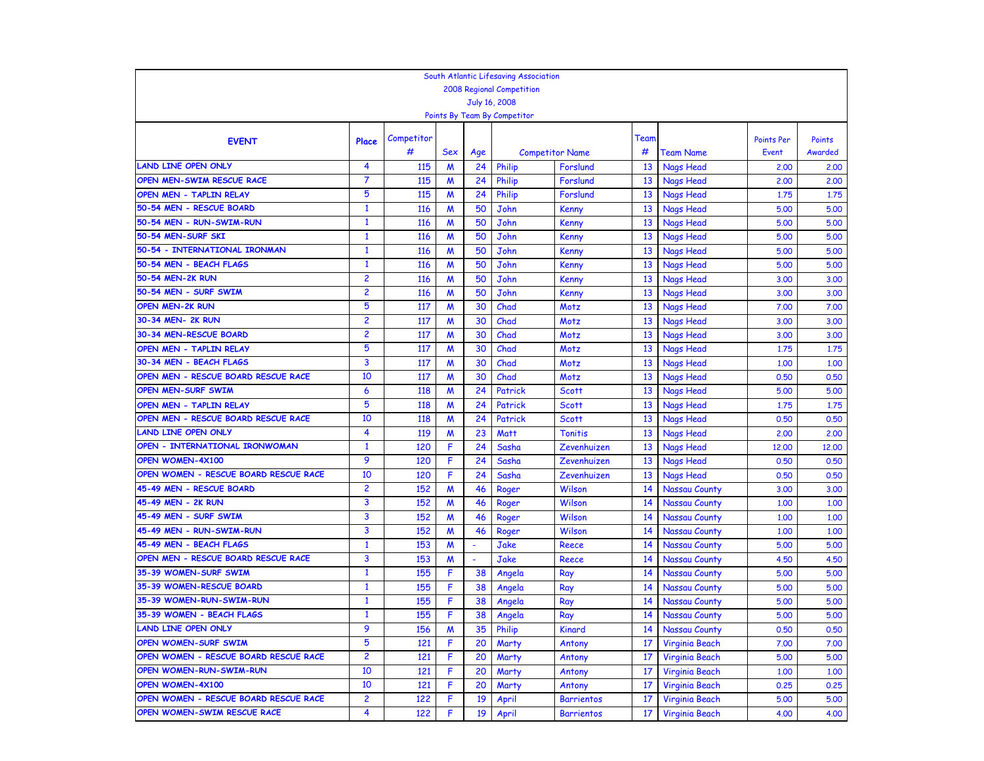|                                       |                |                 |                       |           | South Atlantic Lifesaving Association |                                    |      |                        |                     |                   |
|---------------------------------------|----------------|-----------------|-----------------------|-----------|---------------------------------------|------------------------------------|------|------------------------|---------------------|-------------------|
|                                       |                |                 |                       |           | <b>2008 Regional Competition</b>      |                                    |      |                        |                     |                   |
|                                       |                |                 |                       |           | July 16, 2008                         |                                    |      |                        |                     |                   |
|                                       |                |                 |                       |           | Points By Team By Competitor          |                                    |      |                        |                     |                   |
|                                       |                |                 |                       |           |                                       |                                    | Team |                        |                     |                   |
| <b>EVENT</b>                          | Place          | Competitor<br># | Sex                   |           |                                       |                                    | #    |                        | Points Per<br>Event | Points<br>Awarded |
| <b>LAND LINE OPEN ONLY</b>            | 4              | 115             | M                     | Age<br>24 | Philip                                | <b>Competitor Name</b><br>Forslund | 13   | Team Name              |                     |                   |
| OPEN MEN-SWIM RESCUE RACE             | $\overline{7}$ | 115             | M                     | 24        | Philip                                | Forslund                           | 13   | Nags Head<br>Nags Head | 2,00<br>2,00        | 2.00<br>2.00      |
| OPEN MEN - TAPLIN RELAY               | 5              | 115             | $\boldsymbol{M}$      | 24        | Philip                                | Forslund                           | 13   | <b>Nags Head</b>       | 1,75                | 1,75              |
| 50-54 MEN - RESCUE BOARD              | $\mathbf{1}$   | <b>116</b>      | M                     | 50        | John                                  | <b>Kenny</b>                       | 13   | <b>Nags Head</b>       | 5.00                | 5.00              |
| 50-54 MEN - RUN-SWIM-RUN              | $\mathbf{1}$   | 116             | $\boldsymbol{M}$      | 50        | John                                  | <b>Kenny</b>                       | 13   | <b>Nags Head</b>       | 5.00                | 5.00              |
| 50-54 MEN-SURF SKI                    | $\mathbf{1}$   | 116             | M                     | 50        | John                                  | <b>Kenny</b>                       | 13   | <b>Nags Head</b>       | 5.00                | 5.00              |
| 50-54 - INTERNATIONAL IRONMAN         | $\mathbf{1}$   | 116             | M                     | 50        | John                                  | <b>Kenny</b>                       | 13   | <b>Nags Head</b>       | 5.00                | 5.00              |
| 50-54 MEN - BEACH FLAGS               | $\mathbf{1}$   | 116             | M                     | 50        | John                                  | Kenny                              | 13   | <b>Nags Head</b>       | 5.00                | 5.00              |
| 50-54 MEN-2K RUN                      | $\overline{c}$ | 116             | M                     | 50        | John                                  | <b>Kenny</b>                       | 13   | <b>Nags Head</b>       | 3.00                | 3.00              |
| 50-54 MEN - SURF SWIM                 | $\overline{2}$ | 116             |                       | 50        | John                                  |                                    | 13   |                        |                     |                   |
| <b>OPEN MEN-2K RUN</b>                | 5              | 117             | M<br>$\boldsymbol{M}$ | 30        | Chad                                  | <b>Kenny</b>                       | 13   | Nags Head<br>Nags Head | 3.00<br>7.00        | 3.00<br>7.00      |
| 30-34 MEN- 2K RUN                     | $\overline{c}$ | 117             | $\boldsymbol{M}$      | 30        | Chad                                  | Motz<br>Motz                       | 13   | Nags Head              | 3.00                | 3.00              |
| 30-34 MEN-RESCUE BOARD                | $\overline{c}$ | 117             | M                     | 30        | Chad                                  | Motz                               | 13   | Nags Head              | 3,00                | 3.00              |
| OPEN MEN - TAPLIN RELAY               | 5              | 117             | M                     | 30        | Chad                                  | Motz                               | 13   | Nags Head              | 1.75                | 1,75              |
| 30-34 MEN - BEACH FLAGS               | 3              | 117             | M                     | 30        | Chad                                  | Motz                               | 13   | <b>Nags Head</b>       | 1.00                | 1,00              |
| OPEN MEN - RESCUE BOARD RESCUE RACE   | 10             | 117             | M                     | 30        | Chad                                  | Motz                               | 13   | <b>Nags Head</b>       | 0.50                | 0.50              |
| <b>OPEN MEN-SURF SWIM</b>             | 6              | 118             | M                     | 24        | Patrick                               | <b>Scott</b>                       | 13   | Nags Head              | 5.00                | 5.00              |
| <b>OPEN MEN - TAPLIN RELAY</b>        | 5              | 118             | M                     | 24        | Patrick                               | <b>Scott</b>                       | 13   | <b>Nags Head</b>       |                     | 1.75              |
| OPEN MEN - RESCUE BOARD RESCUE RACE   | 10             | 118             | $\boldsymbol{M}$      | 24        | Patrick                               | <b>Scott</b>                       | 13   | Nags Head              | 1,75<br>0.50        | 0.50              |
| <b>LAND LINE OPEN ONLY</b>            | 4              | 119             | $\boldsymbol{M}$      | 23        | <b>Matt</b>                           | <b>Tonitis</b>                     | 13   | <b>Nags Head</b>       | 2,00                | 2,00              |
| OPEN - INTERNATIONAL IRONWOMAN        | $\mathbf{1}$   | 120             | F                     | 24        | Sasha                                 | Zevenhuizen                        | 13   | Nags Head              | 12,00               | 12,00             |
| <b>OPEN WOMEN-4X100</b>               | 9              | 120             | F                     | 24        | Sasha                                 | Zevenhuizen                        | 13   | <b>Nags Head</b>       | 0.50                | 0.50              |
| OPEN WOMEN - RESCUE BOARD RESCUE RACE | 10             | 120             | F                     | 24        | Sasha                                 | Zevenhuizen                        | 13   | Nags Head              | 0.50                | 0.50              |
| 45-49 MEN - RESCUE BOARD              | $\overline{c}$ | 152             | M                     | 46        | Roger                                 | Wilson                             | 14   | <b>Nassau County</b>   | 3.00                | 3.00              |
| 45-49 MEN - 2K RUN                    | 3              | 152             | M                     | 46        | Roger                                 | Wilson                             | 14   | Nassau County          | 1.00                | 1,00              |
| 45-49 MEN - SURF SWIM                 | 3              | 152             | M                     | 46        | Roger                                 | Wilson                             | 14   | <b>Nassau County</b>   | 1.00                | 1.00              |
| 45-49 MEN - RUN-SWIM-RUN              | 3              | 152             | M                     | 46        | Roger                                 | Wilson                             | 14   | <b>Nassau County</b>   | 1.00                | 1.00              |
| 45-49 MEN - BEACH FLAGS               | $\mathbf{1}$   | 153             | M                     |           | Jake                                  | Reece                              | 14   | <b>Nassau County</b>   | 5.00                | 5.00              |
| OPEN MEN - RESCUE BOARD RESCUE RACE   | 3              | 153             | M                     |           | Jake                                  | Reece                              | 14   | Nassau County          | 4.50                | 4.50              |
| 35-39 WOMEN-SURF SWIM                 | $\mathbf{1}$   | 155             | F                     | 38        | Angela                                | Ray                                | 14   | Nassau County          | 5.00                | 5.00              |
| 35-39 WOMEN-RESCUE BOARD              | $\mathbf{1}$   | 155             | F                     | 38        | Angela                                | Ray                                | 14   | <b>Nassau County</b>   | 5.00                | 5.00              |
| 35-39 WOMEN-RUN-SWIM-RUN              | $\mathbf{1}$   | 155             | F                     | 38        | Angela                                | Ray                                | 14   | <b>Nassau County</b>   | 5.00                | 5.00              |
| 35-39 WOMEN - BEACH FLAGS             | $\mathbf{1}$   | 155             | F                     | 38        | Angela                                | Ray                                | 14   | Nassau County          | 5.00                | 5.00              |
| LAND LINE OPEN ONLY                   | 9              | <b>156</b>      | M                     | 35        | <b>Philip</b>                         | Kinard                             | 14   | Nassau County          | 0.50                | 0.50              |
| OPEN WOMEN-SURF SWIM                  | 5              | 121             | F                     | 20        | Marty                                 | Antony                             | 17   | Virginia Beach         | 7.00                | 7.00              |
| OPEN WOMEN - RESCUE BOARD RESCUE RACE | $\overline{c}$ | 121             | F                     | 20        | Marty                                 | Antony                             | 17   | Virginia Beach         | 5.00                | 5.00              |
| OPEN WOMEN-RUN-SWIM-RUN               | 10             | 121             | F                     | 20        | Marty                                 | Antony                             | 17   | Virginia Beach         | 1.00                | 1.00              |
| <b>OPEN WOMEN-4X100</b>               | 10             | 121             | F                     | 20        | Marty                                 | Antony                             | 17   | Virginia Beach         | 0.25                | 0.25              |
| OPEN WOMEN - RESCUE BOARD RESCUE RACE | $\overline{c}$ | 122             | F                     | 19        | April                                 | <b>Barrientos</b>                  | 17   | Virginia Beach         | 5.00                | 5.00              |
| OPEN WOMEN-SWIM RESCUE RACE           | 4              | 122             | F                     | 19        | April                                 | <b>Barrientos</b>                  | 17   | Virginia Beach         | 4.00                | 4.00              |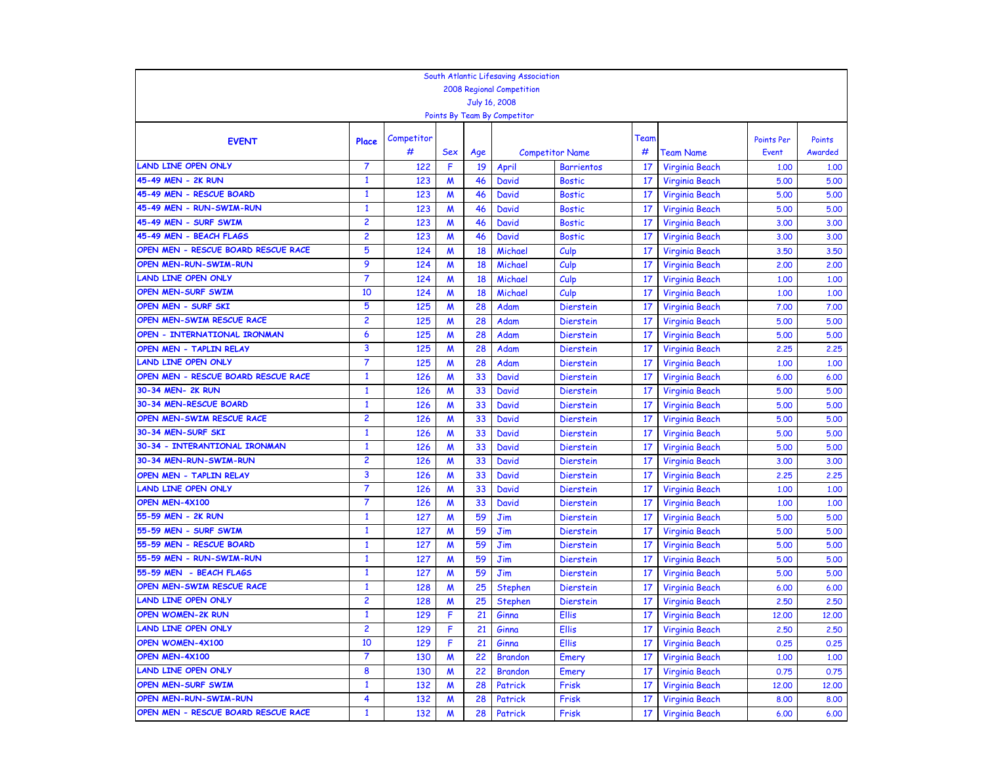|                                                  |                                |                 |                  |          | South Atlantic Lifesaving Association |                        |      |                       |              |         |
|--------------------------------------------------|--------------------------------|-----------------|------------------|----------|---------------------------------------|------------------------|------|-----------------------|--------------|---------|
|                                                  |                                |                 |                  |          | 2008 Regional Competition             |                        |      |                       |              |         |
|                                                  |                                |                 |                  |          | July 16, 2008                         |                        |      |                       |              |         |
|                                                  |                                |                 |                  |          | Points By Team By Competitor          |                        |      |                       |              |         |
|                                                  |                                |                 |                  |          |                                       |                        |      |                       |              |         |
| <b>EVENT</b>                                     | Place                          | Competitor<br># |                  |          |                                       |                        | Team |                       | Points Per   | Points  |
|                                                  | $\overline{7}$                 |                 | <b>Sex</b>       | Age      |                                       | <b>Competitor Name</b> | #    | Team Name             | <b>Event</b> | Awarded |
| <b>LAND LINE OPEN ONLY</b><br>45-49 MEN - 2K RUN |                                | 122             | F                | 19       | April                                 | <b>Barrientos</b>      | 17   | Virginia Beach        | 1.00         | 1.00    |
| 45-49 MEN - RESCUE BOARD                         | $\mathbf{1}$                   | 123             | $\boldsymbol{M}$ | 46       | <b>David</b>                          | <b>Bostic</b>          | 17   | Virginia Beach        | 5.00         | 5.00    |
| 45-49 MEN - RUN-SWIM-RUN                         | $\mathbf{1}$                   | 123             | $\boldsymbol{M}$ | 46       | <b>David</b>                          | <b>Bostic</b>          | 17   | Virginia Beach        | 5.00         | 5.00    |
| 45-49 MEN - SURF SWIM                            | $\mathbf{1}$<br>$\overline{c}$ | 123             | $\boldsymbol{M}$ | 46<br>46 | <b>David</b>                          | <b>Bostic</b>          | 17   | Virginia Beach        | 5.00         | 5.00    |
|                                                  |                                | 123             | $\boldsymbol{M}$ |          | <b>David</b>                          | <b>Bostic</b>          | 17   | Virginia Beach        | 3,00         | 3.00    |
| 45-49 MEN - BEACH FLAGS                          | $\overline{c}$                 | 123             | $\boldsymbol{M}$ | 46       | <b>David</b>                          | <b>Bostic</b>          | 17   | <b>Virginia Beach</b> | 3.00         | 3.00    |
| OPEN MEN - RESCUE BOARD RESCUE RACE              | 5                              | 124             | $\boldsymbol{M}$ | 18       | Michael                               | Culp                   | 17   | <b>Virginia Beach</b> | 3,50         | 3.50    |
| OPEN MEN-RUN-SWIM-RUN                            | 9                              | 124             | M                | 18       | Michael                               | Culp                   | 17   | Virginia Beach        | 2,00         | 2.00    |
| <b>LAND LINE OPEN ONLY</b>                       | $\overline{7}$                 | 124             | M                | 18       | Michael                               | Culp                   | 17   | Virginia Beach        | 1.00         | 1,00    |
| OPEN MEN-SURF SWIM                               | 10                             | 124             | M                | 18       | Michael                               | Culp                   | 17   | Virginia Beach        | 1.00         | 1.00    |
| OPEN MEN - SURF SKI                              | 5                              | 125             | $\boldsymbol{M}$ | 28       | Adam                                  | <b>Dierstein</b>       | 17   | Virginia Beach        | 7.00         | 7.00    |
| OPEN MEN-SWIM RESCUE RACE                        | $\overline{c}$                 | 125             | M                | 28       | Adam                                  | <b>Dierstein</b>       | 17   | Virginia Beach        | 5.00         | 5.00    |
| OPEN - INTERNATIONAL IRONMAN                     | 6                              | 125             | $\boldsymbol{M}$ | 28       | Adam                                  | <b>Dierstein</b>       | 17   | Virginia Beach        | 5.00         | 5.00    |
| OPEN MEN - TAPLIN RELAY                          | 3                              | 125             | M                | 28       | Adam                                  | <b>Dierstein</b>       | 17   | Virginia Beach        | 2,25         | 2,25    |
| <b>LAND LINE OPEN ONLY</b>                       | 7                              | 125             | M                | 28       | Adam                                  | <b>Dierstein</b>       | 17   | <b>Virginia Beach</b> | 1.00         | 1,00    |
| OPEN MEN - RESCUE BOARD RESCUE RACE              | $\mathbf{1}$                   | 126             | M                | 33       | <b>David</b>                          | <b>Dierstein</b>       | 17   | Virginia Beach        | 6.00         | 6.00    |
| 30-34 MEN- 2K RUN                                | $\mathbf{1}$                   | 126             | M                | 33       | <b>David</b>                          | <b>Dierstein</b>       | 17   | <b>Virginia Beach</b> | 5.00         | 5.00    |
| 30-34 MEN-RESCUE BOARD                           | $\mathbf{1}$                   | 126             | M                | 33       | <b>David</b>                          | <b>Dierstein</b>       | 17   | Virginia Beach        | 5.00         | 5.00    |
| OPEN MEN-SWIM RESCUE RACE                        | $\overline{c}$                 | 126             | $\boldsymbol{M}$ | 33       | <b>David</b>                          | <b>Dierstein</b>       | 17   | <b>Virginia Beach</b> | 5.00         | 5.00    |
| 30-34 MEN-SURF SKI                               | $\mathbf{1}$                   | 126             | $\boldsymbol{M}$ | 33       | <b>David</b>                          | <b>Dierstein</b>       | 17   | Virginia Beach        | 5.00         | 5.00    |
| 30-34 - INTERANTIONAL IRONMAN                    | $\mathbf{1}$                   | 126             | $\boldsymbol{M}$ | 33       | <b>David</b>                          | <b>Dierstein</b>       | 17   | Virginia Beach        | 5.00         | 5.00    |
| 30-34 MEN-RUN-SWIM-RUN                           | $\overline{c}$                 | 126             | $\boldsymbol{M}$ | 33       | <b>David</b>                          | <b>Dierstein</b>       | 17   | Virginia Beach        | 3.00         | 3.00    |
| OPEN MEN - TAPLIN RELAY                          | 3                              | 126             | $\boldsymbol{M}$ | 33       | <b>David</b>                          | <b>Dierstein</b>       | 17   | <b>Virginia Beach</b> | 2,25         | 2.25    |
| <b>LAND LINE OPEN ONLY</b>                       | 7                              | 126             | M                | 33       | <b>David</b>                          | <b>Dierstein</b>       | 17   | <b>Virginia Beach</b> | 1.00         | 1,00    |
| OPEN MEN-4X100                                   | $\overline{7}$                 | 126             | M                | 33       | <b>David</b>                          | <b>Dierstein</b>       | 17   | Virginia Beach        | 1.00         | 1.00    |
| 55-59 MEN - 2K RUN                               | $\mathbf{1}$                   | 127             | $\boldsymbol{M}$ | 59       | Jim                                   | <b>Dierstein</b>       | 17   | Virginia Beach        | 5.00         | 5.00    |
| 55-59 MEN - SURF SWIM                            | $\mathbf{1}$                   | 127             | $\boldsymbol{M}$ | 59       | Jim                                   | <b>Dierstein</b>       | 17   | Virginia Beach        | 5.00         | 5.00    |
| 55-59 MEN - RESCUE BOARD                         | $\mathbf{1}$                   | 127             | $\boldsymbol{M}$ | 59       | Jim                                   | <b>Dierstein</b>       | 17   | Virginia Beach        | 5.00         | 5.00    |
| 55-59 MEN - RUN-SWIM-RUN                         | $\mathbf{1}$                   | 127             | M                | 59       | Jim                                   | <b>Dierstein</b>       | 17   | Virginia Beach        | 5.00         | 5.00    |
| 55-59 MEN - BEACH FLAGS                          | $\mathbf{1}$                   | 127             | $\boldsymbol{M}$ | 59       | Jim                                   | <b>Dierstein</b>       | 17   | Virginia Beach        | 5.00         | 5.00    |
| OPEN MEN-SWIM RESCUE RACE                        | $\mathbf{1}$                   | 128             | M                | 25       | Stephen                               | <b>Dierstein</b>       | 17   | Virginia Beach        | 6.00         | 6.00    |
| <b>LAND LINE OPEN ONLY</b>                       | $\overline{c}$                 | 128             | W                | 25       | Stephen                               | <b>Dierstein</b>       | 17   | <b>Virginia Beach</b> | 2.50         | 2,50    |
| <b>OPEN WOMEN-2K RUN</b>                         | $\mathbf{1}$                   | 129             | F                | 21       | Ginna                                 | Ellis                  | 17   | Virginia Beach        | 12,00        | 12,00   |
| LAND LINE OPEN ONLY                              | 2                              | 129             |                  | 21       | Ginna                                 | <b>Ellis</b>           | 17   | Virginia Beach        | 2,50         | 2,50    |
| OPEN WOMEN-4X100                                 | 10                             | 129             | F                | 21       | Ginna                                 | <b>Ellis</b>           | 17   | Virginia Beach        | 0.25         | 0.25    |
| OPEN MEN-4X100                                   | 7                              | 130             | M                | 22       | <b>Brandon</b>                        | Emery                  | 17   | Virginia Beach        | 1.00         | 1,00    |
| <b>LAND LINE OPEN ONLY</b>                       | 8                              | 130             | M                | 22       | <b>Brandon</b>                        | Emery                  | 17   | Virginia Beach        | 0.75         | 0.75    |
| OPEN MEN-SURF SWIM                               | $\mathbf{1}$                   | 132             | M                | 28       | Patrick                               | Frisk                  | 17   | Virginia Beach        | 12,00        | 12,00   |
| OPEN MEN-RUN-SWIM-RUN                            | 4                              | 132             | M                | 28       | Patrick                               | Frisk                  | 17   | Virginia Beach        | 8.00         | 8.00    |
| OPEN MEN - RESCUE BOARD RESCUE RACE              | $\mathbf{1}$                   | 132             | M                | 28       | Patrick                               | Frisk                  | 17   | Virginia Beach        | 6.00         | 6.00    |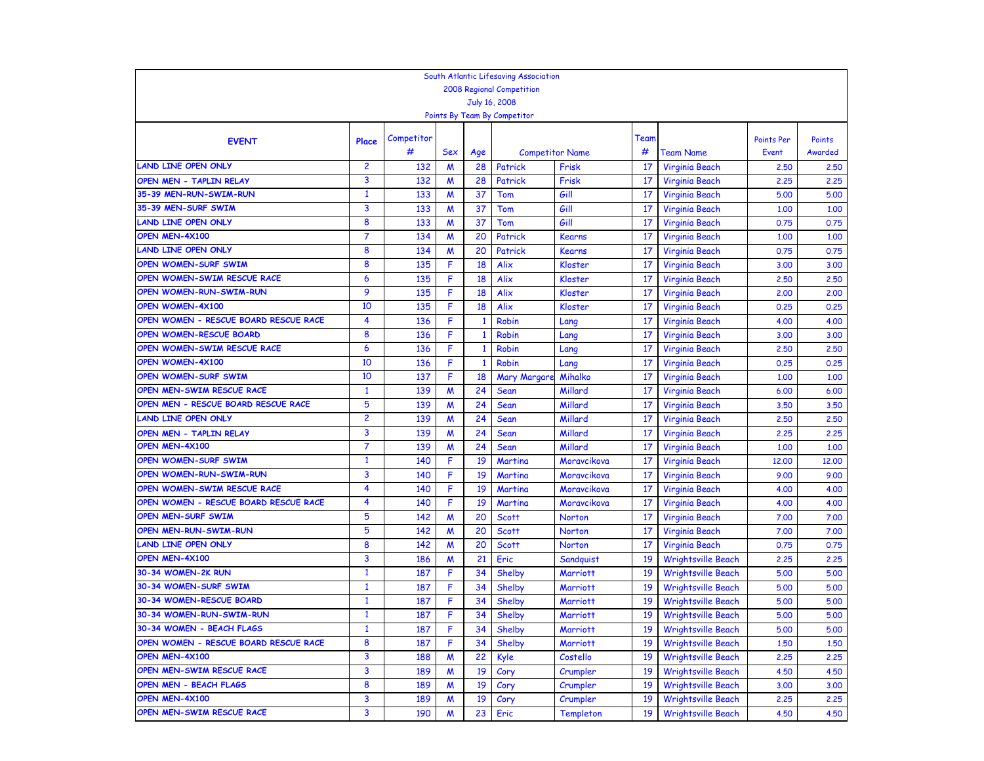|                                                   |                |                 |                       |              | South Atlantic Lifesaving Association |                        |          |                           |                            |                   |
|---------------------------------------------------|----------------|-----------------|-----------------------|--------------|---------------------------------------|------------------------|----------|---------------------------|----------------------------|-------------------|
|                                                   |                |                 |                       |              | <b>2008 Regional Competition</b>      |                        |          |                           |                            |                   |
|                                                   |                |                 |                       |              | July 16, 2008                         |                        |          |                           |                            |                   |
|                                                   |                |                 |                       |              | Points By Team By Competitor          |                        |          |                           |                            |                   |
|                                                   |                |                 |                       |              |                                       |                        | Team     |                           |                            |                   |
| <b>EVENT</b>                                      | Place          | Competitor<br># | Sex                   |              |                                       |                        | #        |                           | <b>Points Per</b><br>Event | Points<br>Awarded |
| AND LINE OPEN ONLY                                | $\overline{c}$ |                 |                       | Age          |                                       | <b>Competitor Name</b> | 17       | Team Name                 |                            |                   |
|                                                   | 3              | 132             | M                     | 28<br>28     | Patrick                               | Frisk                  | 17       | Virginia Beach            | 2,50                       | 2,50              |
| OPEN MEN - TAPLIN RELAY<br>35-39 MEN-RUN-SWIM-RUN | $\mathbf{1}$   | 132<br>133      | W                     | 37           | Patrick<br>Tom                        | Frisk<br>Gill          | 17       | Virginia Beach            | 2,25<br>5.00               | 2.25<br>5.00      |
| 35-39 MEN-SURF SWIM                               | 3              | 133             | W                     | 37           | Tom                                   | Gill                   | 17       | Virginia Beach            |                            | 1.00              |
| AND LINE OPEN ONLY                                | 8              | 133             | W<br>$\boldsymbol{M}$ | 37           | Tom                                   | Gill                   | 17       | Virginia Beach            | 1,00<br>0.75               |                   |
| OPEN MEN-4X100                                    | 7              | 134             |                       | 20           | Patrick                               | <b>Kearns</b>          | 17       | Virginia Beach            |                            | 0.75              |
| LAND LINE OPEN ONLY                               | 8              | 134             | M<br>M                | 20           | Patrick                               |                        | 17       | Virginia Beach            | 1,00<br>0.75               | 1.00<br>0.75      |
| OPEN WOMEN-SURF SWIM                              | 8              | 135             | F                     | 18           | Alix                                  | Kearns                 |          | Virginia Beach            |                            |                   |
| OPEN WOMEN-SWIM RESCUE RACE                       | 6              | 135             | F                     | 18           | Alix                                  | Kloster                | 17<br>17 | <b>Virginia Beach</b>     | 3.00                       | 3.00              |
| OPEN WOMEN-RUN-SWIM-RUN                           | 9              |                 |                       |              |                                       | Kloster                |          | Virginia Beach            | 2,50                       | 2,50              |
| OPEN WOMEN-4X100                                  | 10             | 135             | F                     | 18<br>18     | Alix                                  | Kloster                | 17       | Virginia Beach            | 2,00                       | 2.00              |
| OPEN WOMEN - RESCUE BOARD RESCUE RACE             | 4              | 135             | F<br>F                |              | Alix                                  | Kloster                | 17       | Virginia Beach            | 0.25                       | 0.25              |
| OPEN WOMEN-RESCUE BOARD                           | 8              | 136             |                       | $\mathbf{1}$ | <b>Robin</b>                          | Lang                   | 17       | Virginia Beach            | 4.00                       | 4.00              |
|                                                   |                | 136             | F                     | $\mathbf{1}$ | <b>Robin</b>                          | Lang                   | 17       | Virginia Beach            | 3,00                       | 3.00              |
| OPEN WOMEN-SWIM RESCUE RACE                       | 6              | 136             | F                     | $\mathbf{1}$ | <b>Robin</b>                          | Lang                   | 17       | Virginia Beach            | 2,50                       | 2,50              |
| OPEN WOMEN-4X100                                  | 10             | 136             | F                     | $\mathbf{1}$ | <b>Robin</b>                          | Lang                   | 17       | Virginia Beach            | 0.25                       | 0.25              |
| OPEN WOMEN-SURF SWIM<br>OPEN MEN-SWIM RESCUE RACE | 10             | 137             | F                     | 18           | <b>Mary Margare</b>                   | Mihalko                | 17       | Virginia Beach            | 1.00                       | 1,00              |
|                                                   | $\mathbf{1}$   | 139             | M                     | 24           | Sean                                  | Millard                | 17       | Virginia Beach            | 6.00                       | 6.00              |
| OPEN MEN - RESCUE BOARD RESCUE RACE               | 5              | 139             | M                     | 24           | Sean                                  | Millard                | 17       | Virginia Beach            | 3.50                       | 3.50              |
| <b>LAND LINE OPEN ONLY</b>                        | $\overline{c}$ | 139             | $\boldsymbol{M}$      | 24           | Sean                                  | Millard                | 17       | Virginia Beach            | 2,50                       | 2,50              |
| OPEN MEN - TAPLIN RELAY                           | 3              | 139             | W                     | 24           | Sean                                  | Millard                | 17       | Virginia Beach            | 2,25                       | 2.25              |
| OPEN MEN-4X100                                    | 7              | 139             | M                     | 24           | Sean                                  | Millard                | 17       | Virginia Beach            | 1,00                       | 1.00              |
| OPEN WOMEN-SURF SWIM                              | $\mathbf{1}$   | 140             | F                     | 19           | Martina                               | Moravcikova            | 17       | Virginia Beach            | 12,00                      | 12,00             |
| OPEN WOMEN-RUN-SWIM-RUN                           | 3              | 140             | F                     | 19           | Martina                               | Moravcikova            | 17       | <b>Virginia Beach</b>     | 9.00                       | 9.00              |
| OPEN WOMEN-SWIM RESCUE RACE                       | 4              | 140             | F                     | 19           | Martina                               | Moravcikova            | 17       | Virginia Beach            | 4.00                       | 4.00              |
| OPEN WOMEN - RESCUE BOARD RESCUE RACE             | 4              | 140             | F                     | 19           | Martina                               | Moravcikova            | 17       | Virginia Beach            | 4.00                       | 4.00              |
| <b>OPEN MEN-SURF SWIM</b>                         | 5              | 142             | $\boldsymbol{M}$      | 20           | <b>Scott</b>                          | Norton                 | 17       | Virginia Beach            | 7.00                       | 7.00              |
| OPEN MEN-RUN-SWIM-RUN                             | 5              | 142             | M                     | 20           | <b>Scott</b>                          | Norton                 | 17       | Virginia Beach            | 7.00                       | 7.00              |
| LAND LINE OPEN ONLY                               | 8              | 142             | W                     | 20           | Scott                                 | Norton                 | 17       | <b>Virginia Beach</b>     | 0.75                       | 0.75              |
| OPEN MEN-4X100                                    | 3              | 186             | M                     | 21           | Eric                                  | Sandquist              | 19       | <b>Wrightsville Beach</b> | 2,25                       | 2,25              |
| 30-34 WOMEN-2K RUN                                | $\mathbf{1}$   | 187             | F                     | 34           | Shelby                                | <b>Marriott</b>        | 19       | <b>Wrightsville Beach</b> | 5.00                       | 5.00              |
| 30-34 WOMEN-SURF SWIM<br>30-34 WOMEN-RESCUE BOARD | $\mathbf{1}$   | 187             | F                     | 34           | Shelby                                | <b>Marriott</b>        | 19       | <b>Wrightsville Beach</b> | 5.00                       | 5.00              |
|                                                   | $\mathbf{1}$   | 187             | F                     | 34           | Shelby                                | <b>Marriott</b>        | 19       | <b>Wrightsville Beach</b> | 5.00                       | 5.00              |
| 30-34 WOMEN-RUN-SWIM-RUN                          | $\mathbf{1}$   | 187             | F                     | 34           | Shelby                                | <b>Marriott</b>        | 19       | <b>Wrightsville Beach</b> | 5.00                       | 5.00              |
| 30-34 WOMEN - BEACH FLAGS                         | 1              | 187             | F                     | 34           | Shelby                                | <b>Marriott</b>        | 19       | Wrightsville Beach        | 5.00                       | 5.00              |
| OPEN WOMEN - RESCUE BOARD RESCUE RACE             | 8              | 187             | F                     | 34           | Shelby                                | Marriott               | 19       | <b>Wrightsville Beach</b> | 1,50                       | 1.50              |
| OPEN MEN-4X100<br>OPEN MEN-SWIM RESCUE RACE       | 3              | 188             | M                     | 22           | Kyle                                  | Costello               | 19       | <b>Wrightsville Beach</b> | 2,25                       | 2,25              |
|                                                   | 3              | 189             | M                     | 19           | Cory                                  | Crumpler               | 19       | <b>Wrightsville Beach</b> | 4.50                       | 4.50              |
| OPEN MEN - BEACH FLAGS                            | 8              | 189             | M                     | 19           | Cory                                  | Crumpler               | 19       | <b>Wrightsville Beach</b> | 3.00                       | 3.00              |
| OPEN MEN-4X100                                    | 3              | 189             | M                     | 19           | Cory                                  | Crumpler               | 19       | <b>Wrightsville Beach</b> | 2,25                       | 2.25              |
| OPEN MEN-SWIM RESCUE RACE                         | 3              | 190             | M                     | 23           | Eric                                  | <b>Templeton</b>       | 19       | <b>Wrightsville Beach</b> | 4.50                       | 4.50              |